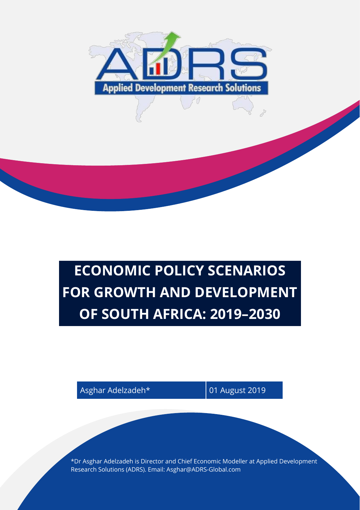

# **ECONOMIC POLICY SCENARIOS FOR GROWTH AND DEVELOPMENT OF SOUTH AFRICA: 2019–2030**

Asghar Adelzadeh\* 01 August 2019

\*Dr Asghar Adelzadeh is Director and Chief Economic Modeller at Applied Development Research Solutions (ADRS). Email: Asghar@ADRS-Global.com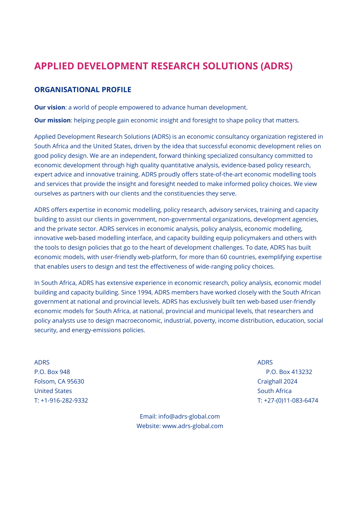# **APPLIED DEVELOPMENT RESEARCH SOLUTIONS (ADRS)**

### **ORGANISATIONAL PROFILE**

**Our vision:** a world of people empowered to advance human development.

**Our mission**: helping people gain economic insight and foresight to shape policy that matters.

Applied Development Research Solutions (ADRS) is an economic consultancy organization registered in South Africa and the United States, driven by the idea that successful economic development relies on good policy design. We are an independent, forward thinking specialized consultancy committed to economic development through high quality quantitative analysis, evidence-based policy research, expert advice and innovative training. ADRS proudly offers state-of-the-art economic modelling tools and services that provide the insight and foresight needed to make informed policy choices. We view ourselves as partners with our clients and the constituencies they serve.

ADRS offers expertise in economic modelling, policy research, advisory services, training and capacity building to assist our clients in government, non-governmental organizations, development agencies, and the private sector. ADRS services in economic analysis, policy analysis, economic modelling, innovative web-based modelling interface, and capacity building equip policymakers and others with the tools to design policies that go to the heart of development challenges. To date, ADRS has built economic models, with user-friendly web-platform, for more than 60 countries, exemplifying expertise that enables users to design and test the effectiveness of wide-ranging policy choices.

In South Africa, ADRS has extensive experience in economic research, policy analysis, economic model building and capacity building. Since 1994, ADRS members have worked closely with the South African government at national and provincial levels. ADRS has exclusively built ten web-based user-friendly economic models for South Africa, at national, provincial and municipal levels, that researchers and policy analysts use to design macroeconomic, industrial, poverty, income distribution, education, social security, and energy-emissions policies.

ADRS ADRS Folsom, CA 95630 Craighall 2024 United States **South Africa** 

> Email: info@adrs-global.com Website: www.adrs-global.com

P.O. Box 948 P.O. Box 413232 T: +1-916-282-9332 T: +27-(0)11-083-6474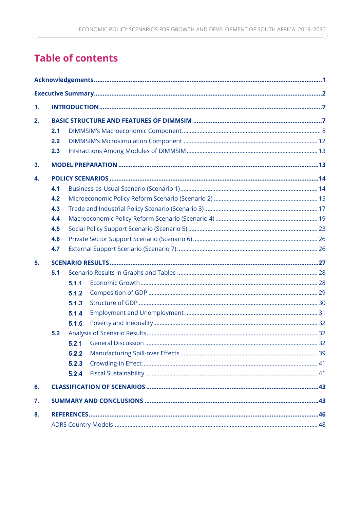# **Table of contents**

| 1. |     |       |  |  |  |
|----|-----|-------|--|--|--|
| 2. |     |       |  |  |  |
|    | 2.1 |       |  |  |  |
|    | 2.2 |       |  |  |  |
|    | 2.3 |       |  |  |  |
| 3. |     |       |  |  |  |
| 4. |     |       |  |  |  |
|    | 4.1 |       |  |  |  |
|    | 4.2 |       |  |  |  |
|    | 4.3 |       |  |  |  |
|    | 4.4 |       |  |  |  |
|    | 4.5 |       |  |  |  |
|    | 4.6 |       |  |  |  |
|    | 4.7 |       |  |  |  |
| 5. |     |       |  |  |  |
|    | 5.1 |       |  |  |  |
|    |     | 5.1.1 |  |  |  |
|    |     | 5.1.2 |  |  |  |
|    |     | 5.1.3 |  |  |  |
|    |     | 5.1.4 |  |  |  |
|    |     | 5.1.5 |  |  |  |
|    | 5.2 |       |  |  |  |
|    |     | 5.2.1 |  |  |  |
|    |     | 5.2.2 |  |  |  |
|    |     | 5.2.3 |  |  |  |
|    |     | 5.2.4 |  |  |  |
| 6. |     |       |  |  |  |
| 7. |     |       |  |  |  |
| 8. |     |       |  |  |  |
|    |     |       |  |  |  |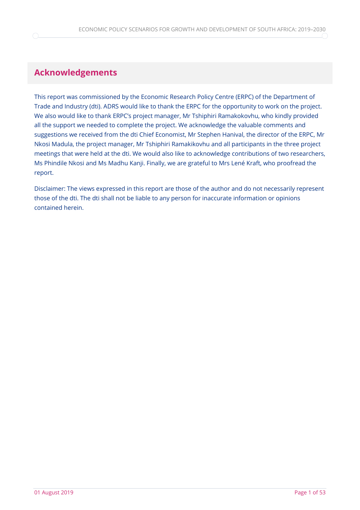# **Acknowledgements**

This report was commissioned by the Economic Research Policy Centre (ERPC) of the Department of Trade and Industry (dti). ADRS would like to thank the ERPC for the opportunity to work on the project. We also would like to thank ERPC's project manager, Mr Tshiphiri Ramakokovhu, who kindly provided all the support we needed to complete the project. We acknowledge the valuable comments and suggestions we received from the dti Chief Economist, Mr Stephen Hanival, the director of the ERPC, Mr Nkosi Madula, the project manager, Mr Tshiphiri Ramakikovhu and all participants in the three project meetings that were held at the dti. We would also like to acknowledge contributions of two researchers, Ms Phindile Nkosi and Ms Madhu Kanji. Finally, we are grateful to Mrs Lené Kraft, who proofread the report.

Disclaimer: The views expressed in this report are those of the author and do not necessarily represent those of the dti. The dti shall not be liable to any person for inaccurate information or opinions contained herein.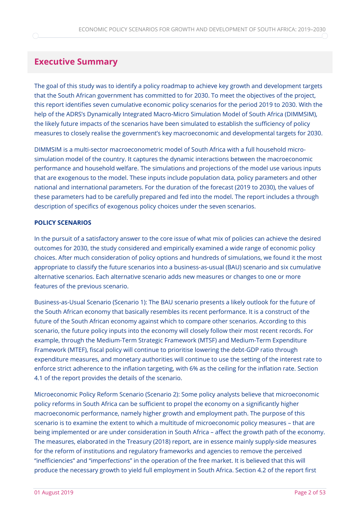# **Executive Summary**

The goal of this study was to identify a policy roadmap to achieve key growth and development targets that the South African government has committed to for 2030. To meet the objectives of the project, this report identifies seven cumulative economic policy scenarios for the period 2019 to 2030. With the help of the ADRS's Dynamically Integrated Macro-Micro Simulation Model of South Africa (DIMMSIM), the likely future impacts of the scenarios have been simulated to establish the sufficiency of policy measures to closely realise the government's key macroeconomic and developmental targets for 2030.

DIMMSIM is a multi-sector macroeconometric model of South Africa with a full household microsimulation model of the country. It captures the dynamic interactions between the macroeconomic performance and household welfare. The simulations and projections of the model use various inputs that are exogenous to the model. These inputs include population data, policy parameters and other national and international parameters. For the duration of the forecast (2019 to 2030), the values of these parameters had to be carefully prepared and fed into the model. The report includes a through description of specifics of exogenous policy choices under the seven scenarios.

### **POLICY SCENARIOS**

In the pursuit of a satisfactory answer to the core issue of what mix of policies can achieve the desired outcomes for 2030, the study considered and empirically examined a wide range of economic policy choices. After much consideration of policy options and hundreds of simulations, we found it the most appropriate to classify the future scenarios into a business-as-usual (BAU) scenario and six cumulative alternative scenarios. Each alternative scenario adds new measures or changes to one or more features of the previous scenario.

Business-as-Usual Scenario (Scenario 1): The BAU scenario presents a likely outlook for the future of the South African economy that basically resembles its recent performance. It is a construct of the future of the South African economy against which to compare other scenarios. According to this scenario, the future policy inputs into the economy will closely follow their most recent records. For example, through the Medium-Term Strategic Framework (MTSF) and Medium-Term Expenditure Framework (MTEF), fiscal policy will continue to prioritise lowering the debt-GDP ratio through expenditure measures, and monetary authorities will continue to use the setting of the interest rate to enforce strict adherence to the inflation targeting, with 6% as the ceiling for the inflation rate. Section 4.1 of the report provides the details of the scenario.

Microeconomic Policy Reform Scenario (Scenario 2): Some policy analysts believe that microeconomic policy reforms in South Africa can be sufficient to propel the economy on a significantly higher macroeconomic performance, namely higher growth and employment path. The purpose of this scenario is to examine the extent to which a multitude of microeconomic policy measures – that are being implemented or are under consideration in South Africa – affect the growth path of the economy. The measures, elaborated in the Treasury (2018) report, are in essence mainly supply-side measures for the reform of institutions and regulatory frameworks and agencies to remove the perceived "inefficiencies" and "imperfections" in the operation of the free market. It is believed that this will produce the necessary growth to yield full employment in South Africa. Section 4.2 of the report first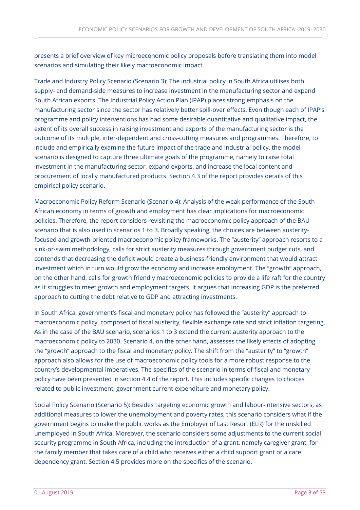presents a brief overview of key microeconomic policy proposals before translating them into model scenarios and simulating their likely macroeconomic impact.

Trade and Industry Policy Scenario (Scenario 3): The industrial policy in South Africa utilises both supply- and demand-side measures to increase investment in the manufacturing sector and expand South African exports. The Industrial Policy Action Plan (IPAP) places strong emphasis on the manufacturing sector since the sector has relatively better spill-over effects. Even though each of IPAP's programme and policy interventions has had some desirable quantitative and qualitative impact, the extent of its overall success in raising investment and exports of the manufacturing sector is the outcome of its multiple, inter-dependent and cross-cutting measures and programmes. Therefore, to include and empirically examine the future impact of the trade and industrial policy, the model scenario is designed to capture three ultimate goals of the programme, namely to raise total investment in the manufacturing sector, expand exports, and increase the local content and procurement of locally manufactured products. Section 4.3 of the report provides details of this empirical policy scenario.

Macroeconomic Policy Reform Scenario (Scenario 4): Analysis of the weak performance of the South African economy in terms of growth and employment has clear implications for macroeconomic policies. Therefore, the report considers revisiting the macroeconomic policy approach of the BAU scenario that is also used in scenarios 1 to 3. Broadly speaking, the choices are between austerityfocused and growth-oriented macroeconomic policy frameworks. The "austerity" approach resorts to a sink-or-swim methodology, calls for strict austerity measures through government budget cuts, and contends that decreasing the deficit would create a business-friendly environment that would attract investment which in turn would grow the economy and increase employment. The "growth" approach, on the other hand, calls for growth friendly macroeconomic policies to provide a life raft for the country as it struggles to meet growth and employment targets. It argues that increasing GDP is the preferred approach to cutting the debt relative to GDP and attracting investments.

In South Africa, government's fiscal and monetary policy has followed the "austerity" approach to macroeconomic policy, composed of fiscal austerity, flexible exchange rate and strict inflation targeting. As in the case of the BAU scenario, scenarios 1 to 3 extend the current austerity approach to the macroeconomic policy to 2030. Scenario 4, on the other hand, assesses the likely effects of adopting the "growth" approach to the fiscal and monetary policy. The shift from the "austerity" to "growth" approach also allows for the use of macroeconomic policy tools for a more robust response to the country's developmental imperatives. The specifics of the scenario in terms of fiscal and monetary policy have been presented in section 4.4 of the report. This includes specific changes to choices related to public investment, government current expenditure and monetary policy.

Social Policy Scenario (Scenario 5): Besides targeting economic growth and labour-intensive sectors, as additional measures to lower the unemployment and poverty rates, this scenario considers what if the government begins to make the public works as the Employer of Last Resort (ELR) for the unskilled unemployed in South Africa. Moreover, the scenario considers some adjustments to the current social security programme in South Africa, including the introduction of a grant, namely caregiver grant, for the family member that takes care of a child who receives either a child support grant or a care dependency grant. Section 4.5 provides more on the specifics of the scenario.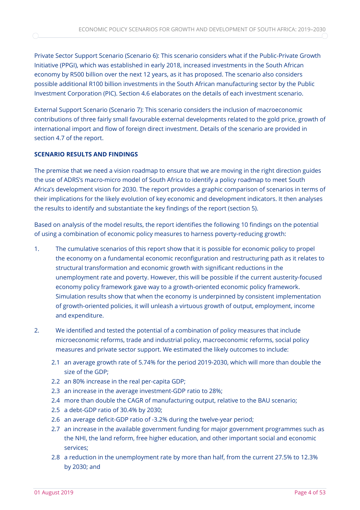Private Sector Support Scenario (Scenario 6): This scenario considers what if the Public-Private Growth Initiative (PPGI), which was established in early 2018, increased investments in the South African economy by R500 billion over the next 12 years, as it has proposed. The scenario also considers possible additional R100 billion investments in the South African manufacturing sector by the Public Investment Corporation (PIC). Section 4.6 elaborates on the details of each investment scenario.

External Support Scenario (Scenario 7): This scenario considers the inclusion of macroeconomic contributions of three fairly small favourable external developments related to the gold price, growth of international import and flow of foreign direct investment. Details of the scenario are provided in section 4.7 of the report.

### **SCENARIO RESULTS AND FINDINGS**

The premise that we need a vision roadmap to ensure that we are moving in the right direction guides the use of ADRS's macro-micro model of South Africa to identify a policy roadmap to meet South Africa's development vision for 2030. The report provides a graphic comparison of scenarios in terms of their implications for the likely evolution of key economic and development indicators. It then analyses the results to identify and substantiate the key findings of the report (section 5).

Based on analysis of the model results, the report identifies the following 10 findings on the potential of using a combination of economic policy measures to harness poverty-reducing growth:

- 1. The cumulative scenarios of this report show that it is possible for economic policy to propel the economy on a fundamental economic reconfiguration and restructuring path as it relates to structural transformation and economic growth with significant reductions in the unemployment rate and poverty. However, this will be possible if the current austerity-focused economy policy framework gave way to a growth-oriented economic policy framework. Simulation results show that when the economy is underpinned by consistent implementation of growth-oriented policies, it will unleash a virtuous growth of output, employment, income and expenditure.
- 2. We identified and tested the potential of a combination of policy measures that include microeconomic reforms, trade and industrial policy, macroeconomic reforms, social policy measures and private sector support. We estimated the likely outcomes to include:
	- 2.1 an average growth rate of 5.74% for the period 2019-2030, which will more than double the size of the GDP;
	- 2.2 an 80% increase in the real per-capita GDP;
	- 2.3 an increase in the average investment-GDP ratio to 28%;
	- 2.4 more than double the CAGR of manufacturing output, relative to the BAU scenario;
	- 2.5 a debt-GDP ratio of 30.4% by 2030;
	- 2.6 an average deficit-GDP ratio of -3.2% during the twelve-year period;
	- 2.7 an increase in the available government funding for major government programmes such as the NHI, the land reform, free higher education, and other important social and economic services;
	- 2.8 a reduction in the unemployment rate by more than half, from the current 27.5% to 12.3% by 2030; and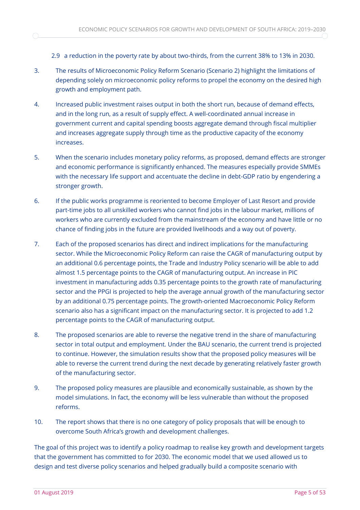### 2.9 a reduction in the poverty rate by about two-thirds, from the current 38% to 13% in 2030.

- 3. The results of Microeconomic Policy Reform Scenario (Scenario 2) highlight the limitations of depending solely on microeconomic policy reforms to propel the economy on the desired high growth and employment path.
- 4. Increased public investment raises output in both the short run, because of demand effects, and in the long run, as a result of supply effect. A well-coordinated annual increase in government current and capital spending boosts aggregate demand through fiscal multiplier and increases aggregate supply through time as the productive capacity of the economy increases.
- 5. When the scenario includes monetary policy reforms, as proposed, demand effects are stronger and economic performance is significantly enhanced. The measures especially provide SMMEs with the necessary life support and accentuate the decline in debt-GDP ratio by engendering a stronger growth.
- 6. If the public works programme is reoriented to become Employer of Last Resort and provide part-time jobs to all unskilled workers who cannot find jobs in the labour market, millions of workers who are currently excluded from the mainstream of the economy and have little or no chance of finding jobs in the future are provided livelihoods and a way out of poverty.
- 7. Each of the proposed scenarios has direct and indirect implications for the manufacturing sector. While the Microeconomic Policy Reform can raise the CAGR of manufacturing output by an additional 0.6 percentage points, the Trade and Industry Policy scenario will be able to add almost 1.5 percentage points to the CAGR of manufacturing output. An increase in PIC investment in manufacturing adds 0.35 percentage points to the growth rate of manufacturing sector and the PPGI is projected to help the average annual growth of the manufacturing sector by an additional 0.75 percentage points. The growth-oriented Macroeconomic Policy Reform scenario also has a significant impact on the manufacturing sector. It is projected to add 1.2 percentage points to the CAGR of manufacturing output.
- 8. The proposed scenarios are able to reverse the negative trend in the share of manufacturing sector in total output and employment. Under the BAU scenario, the current trend is projected to continue. However, the simulation results show that the proposed policy measures will be able to reverse the current trend during the next decade by generating relatively faster growth of the manufacturing sector.
- 9. The proposed policy measures are plausible and economically sustainable, as shown by the model simulations. In fact, the economy will be less vulnerable than without the proposed reforms.
- 10. The report shows that there is no one category of policy proposals that will be enough to overcome South Africa's growth and development challenges.

The goal of this project was to identify a policy roadmap to realise key growth and development targets that the government has committed to for 2030. The economic model that we used allowed us to design and test diverse policy scenarios and helped gradually build a composite scenario with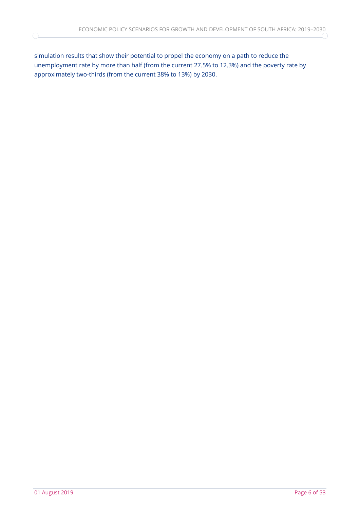simulation results that show their potential to propel the economy on a path to reduce the unemployment rate by more than half (from the current 27.5% to 12.3%) and the poverty rate by approximately two-thirds (from the current 38% to 13%) by 2030.

 $\bigcirc$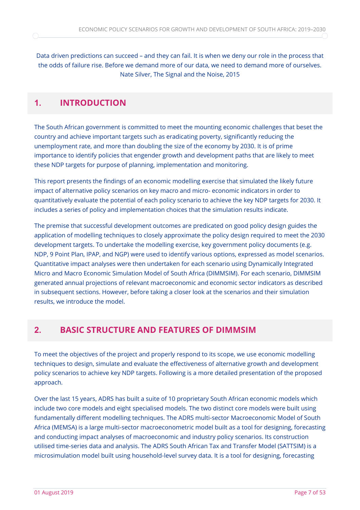Data driven predictions can succeed – and they can fail. It is when we deny our role in the process that the odds of failure rise. Before we demand more of our data, we need to demand more of ourselves. Nate Silver, The Signal and the Noise, 2015

# **1. INTRODUCTION**

The South African government is committed to meet the mounting economic challenges that beset the country and achieve important targets such as eradicating poverty, significantly reducing the unemployment rate, and more than doubling the size of the economy by 2030. It is of prime importance to identify policies that engender growth and development paths that are likely to meet these NDP targets for purpose of planning, implementation and monitoring.

This report presents the findings of an economic modelling exercise that simulated the likely future impact of alternative policy scenarios on key macro and micro- economic indicators in order to quantitatively evaluate the potential of each policy scenario to achieve the key NDP targets for 2030. It includes a series of policy and implementation choices that the simulation results indicate.

The premise that successful development outcomes are predicated on good policy design guides the application of modelling techniques to closely approximate the policy design required to meet the 2030 development targets. To undertake the modelling exercise, key government policy documents (e.g. NDP, 9 Point Plan, IPAP, and NGP) were used to identify various options, expressed as model scenarios. Quantitative impact analyses were then undertaken for each scenario using Dynamically Integrated Micro and Macro Economic Simulation Model of South Africa (DIMMSIM). For each scenario, DIMMSIM generated annual projections of relevant macroeconomic and economic sector indicators as described in subsequent sections. However, before taking a closer look at the scenarios and their simulation results, we introduce the model.

# **2. BASIC STRUCTURE AND FEATURES OF DIMMSIM**

To meet the objectives of the project and properly respond to its scope, we use economic modelling techniques to design, simulate and evaluate the effectiveness of alternative growth and development policy scenarios to achieve key NDP targets. Following is a more detailed presentation of the proposed approach.

Over the last 15 years, ADRS has built a suite of 10 proprietary South African economic models which include two core models and eight specialised models. The two distinct core models were built using fundamentally different modelling techniques. The ADRS multi-sector Macroeconomic Model of South Africa (MEMSA) is a large multi-sector macroeconometric model built as a tool for designing, forecasting and conducting impact analyses of macroeconomic and industry policy scenarios. Its construction utilised time-series data and analysis. The ADRS South African Tax and Transfer Model (SATTSIM) is a microsimulation model built using household-level survey data. It is a tool for designing, forecasting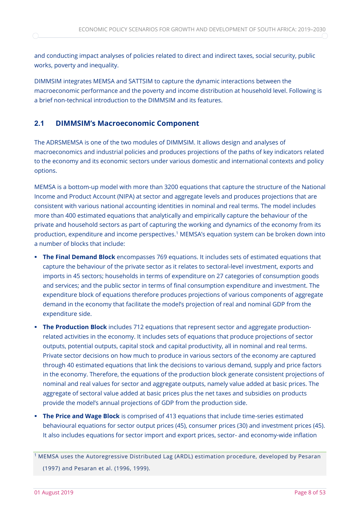and conducting impact analyses of policies related to direct and indirect taxes, social security, public works, poverty and inequality.

DIMMSIM integrates MEMSA and SATTSIM to capture the dynamic interactions between the macroeconomic performance and the poverty and income distribution at household level. Following is a brief non-technical introduction to the DIMMSIM and its features.

# **2.1 DIMMSIM's Macroeconomic Component**

The ADRSMEMSA is one of the two modules of DIMMSIM. It allows design and analyses of macroeconomics and industrial policies and produces projections of the paths of key indicators related to the economy and its economic sectors under various domestic and international contexts and policy options.

MEMSA is a bottom-up model with more than 3200 equations that capture the structure of the National Income and Product Account (NIPA) at sector and aggregate levels and produces projections that are consistent with various national accounting identities in nominal and real terms. The model includes more than 400 estimated equations that analytically and empirically capture the behaviour of the private and household sectors as part of capturing the working and dynamics of the economy from its production, expenditure and income perspectives. <sup>1</sup> MEMSA's equation system can be broken down into a number of blocks that include:

- **. The Final Demand Block** encompasses 769 equations. It includes sets of estimated equations that capture the behaviour of the private sector as it relates to sectoral-level investment, exports and imports in 45 sectors; households in terms of expenditure on 27 categories of consumption goods and services; and the public sector in terms of final consumption expenditure and investment. The expenditure block of equations therefore produces projections of various components of aggregate demand in the economy that facilitate the model's projection of real and nominal GDP from the expenditure side.
- **The Production Block** includes 712 equations that represent sector and aggregate productionrelated activities in the economy. It includes sets of equations that produce projections of sector outputs, potential outputs, capital stock and capital productivity, all in nominal and real terms. Private sector decisions on how much to produce in various sectors of the economy are captured through 40 estimated equations that link the decisions to various demand, supply and price factors in the economy. Therefore, the equations of the production block generate consistent projections of nominal and real values for sector and aggregate outputs, namely value added at basic prices. The aggregate of sectoral value added at basic prices plus the net taxes and subsidies on products provide the model's annual projections of GDP from the production side.
- **. The Price and Wage Block** is comprised of 413 equations that include time-series estimated behavioural equations for sector output prices (45), consumer prices (30) and investment prices (45). It also includes equations for sector import and export prices, sector- and economy-wide inflation

<sup>1</sup> MEMSA uses the Autoregressive Distributed Lag (ARDL) estimation procedure, developed by Pesaran (1997) and Pesaran et al. (1996, 1999).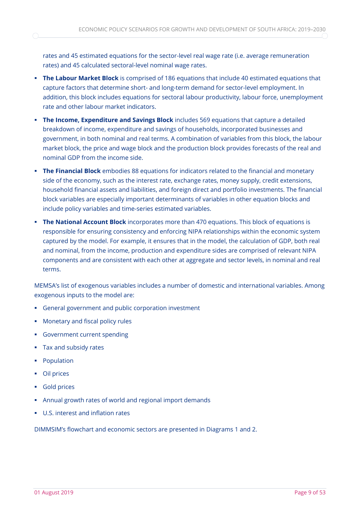rates and 45 estimated equations for the sector-level real wage rate (i.e. average remuneration rates) and 45 calculated sectoral-level nominal wage rates.

- **. The Labour Market Block** is comprised of 186 equations that include 40 estimated equations that capture factors that determine short- and long-term demand for sector-level employment. In addition, this block includes equations for sectoral labour productivity, labour force, unemployment rate and other labour market indicators.
- **The Income, Expenditure and Savings Block** includes 569 equations that capture a detailed breakdown of income, expenditure and savings of households, incorporated businesses and government, in both nominal and real terms. A combination of variables from this block, the labour market block, the price and wage block and the production block provides forecasts of the real and nominal GDP from the income side.
- **. The Financial Block** embodies 88 equations for indicators related to the financial and monetary side of the economy, such as the interest rate, exchange rates, money supply, credit extensions, household financial assets and liabilities, and foreign direct and portfolio investments. The financial block variables are especially important determinants of variables in other equation blocks and include policy variables and time-series estimated variables.
- **The National Account Block** incorporates more than 470 equations. This block of equations is responsible for ensuring consistency and enforcing NIPA relationships within the economic system captured by the model. For example, it ensures that in the model, the calculation of GDP, both real and nominal, from the income, production and expenditure sides are comprised of relevant NIPA components and are consistent with each other at aggregate and sector levels, in nominal and real terms.

MEMSA's list of exogenous variables includes a number of domestic and international variables. Among exogenous inputs to the model are:

- General government and public corporation investment
- Monetary and fiscal policy rules
- Government current spending
- Tax and subsidy rates
- Population
- Oil prices
- Gold prices
- Annual growth rates of world and regional import demands
- U.S. interest and inflation rates

DIMMSIM's flowchart and economic sectors are presented in Diagrams 1 and 2.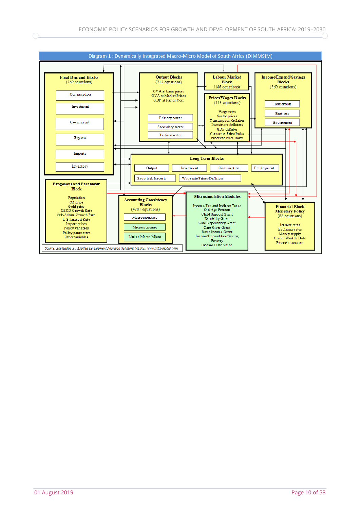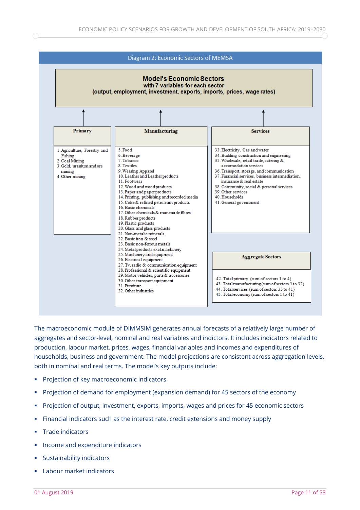

The macroeconomic module of DIMMSIM generates annual forecasts of a relatively large number of aggregates and sector-level, nominal and real variables and indictors. It includes indicators related to production, labour market, prices, wages, financial variables and incomes and expenditures of households, business and government. The model projections are consistent across aggregation levels, both in nominal and real terms. The model's key outputs include:

- **Projection of key macroeconomic indicators**
- Projection of demand for employment (expansion demand) for 45 sectors of the economy
- **·** Projection of output, investment, exports, imports, wages and prices for 45 economic sectors
- Financial indicators such as the interest rate, credit extensions and money supply
- **Trade indicators**
- Income and expenditure indicators
- **Sustainability indicators**
- **Labour market indicators**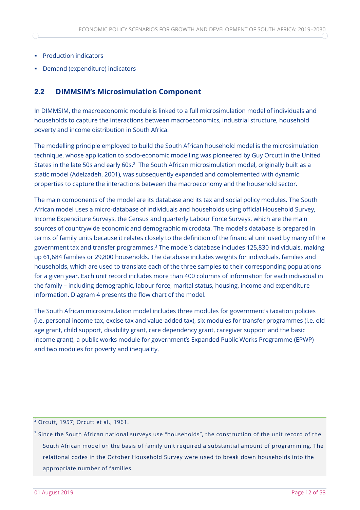- Production indicators
- Demand (expenditure) indicators

### **2.2 DIMMSIM's Microsimulation Component**

In DIMMSIM, the macroeconomic module is linked to a full microsimulation model of individuals and households to capture the interactions between macroeconomics, industrial structure, household poverty and income distribution in South Africa.

The modelling principle employed to build the South African household model is the microsimulation technique, whose application to socio-economic modelling was pioneered by Guy Orcutt in the United States in the late 50s and early 60s.<sup>2</sup> The South African microsimulation model, originally built as a static model (Adelzadeh, 2001), was subsequently expanded and complemented with dynamic properties to capture the interactions between the macroeconomy and the household sector.

The main components of the model are its database and its tax and social policy modules. The South African model uses a micro-database of individuals and households using official Household Survey, Income Expenditure Surveys, the Census and quarterly Labour Force Surveys, which are the main sources of countrywide economic and demographic microdata. The model's database is prepared in terms of family units because it relates closely to the definition of the financial unit used by many of the government tax and transfer programmes.<sup>3</sup> The model's database includes 125,830 individuals, making up 61,684 families or 29,800 households. The database includes weights for individuals, families and households, which are used to translate each of the three samples to their corresponding populations for a given year. Each unit record includes more than 400 columns of information for each individual in the family – including demographic, labour force, marital status, housing, income and expenditure information. Diagram 4 presents the flow chart of the model.

The South African microsimulation model includes three modules for government's taxation policies (i.e. personal income tax, excise tax and value-added tax), six modules for transfer programmes (i.e. old age grant, child support, disability grant, care dependency grant, caregiver support and the basic income grant), a public works module for government's Expanded Public Works Programme (EPWP) and two modules for poverty and inequality.

<sup>2</sup> Orcutt, 1957; Orcutt et al., 1961.

 $3$  Since the South African national surveys use "households", the construction of the unit record of the South African model on the basis of family unit required a substantial amount of programming. The relational codes in the October Household Survey were used to break down households into the appropriate number of families.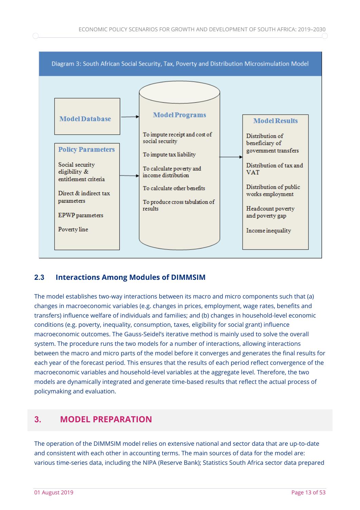

# **2.3 Interactions Among Modules of DIMMSIM**

The model establishes two-way interactions between its macro and micro components such that (a) changes in macroeconomic variables (e.g. changes in prices, employment, wage rates, benefits and transfers) influence welfare of individuals and families; and (b) changes in household-level economic conditions (e.g. poverty, inequality, consumption, taxes, eligibility for social grant) influence macroeconomic outcomes. The Gauss-Seidel's iterative method is mainly used to solve the overall system. The procedure runs the two models for a number of interactions, allowing interactions between the macro and micro parts of the model before it converges and generates the final results for each year of the forecast period. This ensures that the results of each period reflect convergence of the macroeconomic variables and household-level variables at the aggregate level. Therefore, the two models are dynamically integrated and generate time-based results that reflect the actual process of policymaking and evaluation.

# **3. MODEL PREPARATION**

The operation of the DIMMSIM model relies on extensive national and sector data that are up-to-date and consistent with each other in accounting terms. The main sources of data for the model are: various time-series data, including the NIPA (Reserve Bank); Statistics South Africa sector data prepared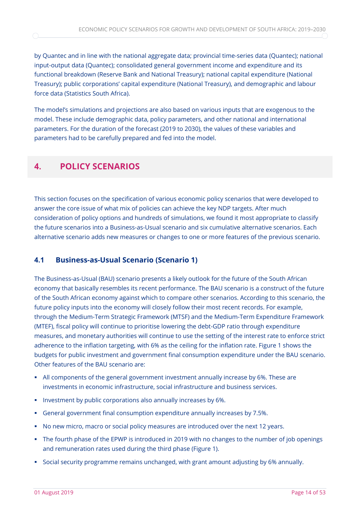by Quantec and in line with the national aggregate data; provincial time-series data (Quantec); national input-output data (Quantec); consolidated general government income and expenditure and its functional breakdown (Reserve Bank and National Treasury); national capital expenditure (National Treasury); public corporations' capital expenditure (National Treasury), and demographic and labour force data (Statistics South Africa).

The model's simulations and projections are also based on various inputs that are exogenous to the model. These include demographic data, policy parameters, and other national and international parameters. For the duration of the forecast (2019 to 2030), the values of these variables and parameters had to be carefully prepared and fed into the model.

# **4. POLICY SCENARIOS**

This section focuses on the specification of various economic policy scenarios that were developed to answer the core issue of what mix of policies can achieve the key NDP targets. After much consideration of policy options and hundreds of simulations, we found it most appropriate to classify the future scenarios into a Business-as-Usual scenario and six cumulative alternative scenarios. Each alternative scenario adds new measures or changes to one or more features of the previous scenario.

# **4.1 Business-as-Usual Scenario (Scenario 1)**

The Business-as-Usual (BAU) scenario presents a likely outlook for the future of the South African economy that basically resembles its recent performance. The BAU scenario is a construct of the future of the South African economy against which to compare other scenarios. According to this scenario, the future policy inputs into the economy will closely follow their most recent records. For example, through the Medium-Term Strategic Framework (MTSF) and the Medium-Term Expenditure Framework (MTEF), fiscal policy will continue to prioritise lowering the debt-GDP ratio through expenditure measures, and monetary authorities will continue to use the setting of the interest rate to enforce strict adherence to the inflation targeting, with 6% as the ceiling for the inflation rate. Figure 1 shows the budgets for public investment and government final consumption expenditure under the BAU scenario. Other features of the BAU scenario are:

- **EXECT** All components of the general government investment annually increase by 6%. These are investments in economic infrastructure, social infrastructure and business services.
- **.** Investment by public corporations also annually increases by 6%.
- General government final consumption expenditure annually increases by 7.5%.
- No new micro, macro or social policy measures are introduced over the next 12 years.
- The fourth phase of the EPWP is introduced in 2019 with no changes to the number of job openings and remuneration rates used during the third phase (Figure 1).
- Social security programme remains unchanged, with grant amount adjusting by 6% annually.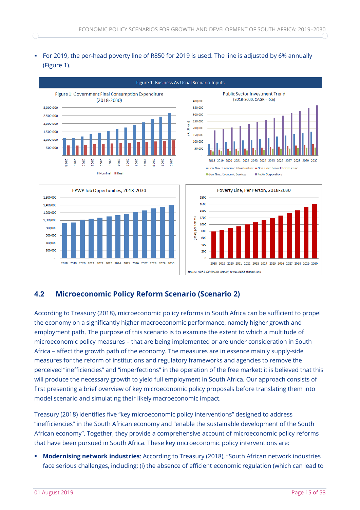▪ For 2019, the per-head poverty line of R850 for 2019 is used. The line is adjusted by 6% annually (Figure 1).



# **4.2 Microeconomic Policy Reform Scenario (Scenario 2)**

According to Treasury (2018), microeconomic policy reforms in South Africa can be sufficient to propel the economy on a significantly higher macroeconomic performance, namely higher growth and employment path. The purpose of this scenario is to examine the extent to which a multitude of microeconomic policy measures – that are being implemented or are under consideration in South Africa – affect the growth path of the economy. The measures are in essence mainly supply-side measures for the reform of institutions and regulatory frameworks and agencies to remove the perceived "inefficiencies" and "imperfections" in the operation of the free market; it is believed that this will produce the necessary growth to yield full employment in South Africa. Our approach consists of first presenting a brief overview of key microeconomic policy proposals before translating them into model scenario and simulating their likely macroeconomic impact.

Treasury (2018) identifies five "key microeconomic policy interventions" designed to address "inefficiencies" in the South African economy and "enable the sustainable development of the South African economy". Together, they provide a comprehensive account of microeconomic policy reforms that have been pursued in South Africa. These key microeconomic policy interventions are:

**Modernising network industries:** According to Treasury (2018), "South African network industries face serious challenges, including: (i) the absence of efficient economic regulation (which can lead to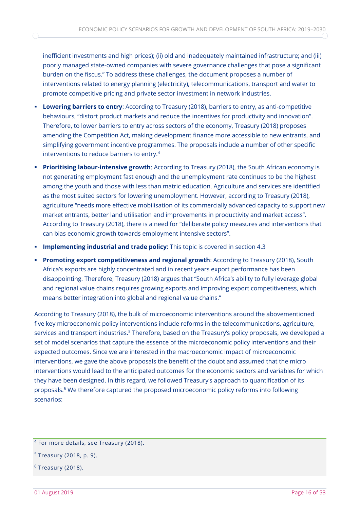inefficient investments and high prices); (ii) old and inadequately maintained infrastructure; and (iii) poorly managed state-owned companies with severe governance challenges that pose a significant burden on the fiscus." To address these challenges, the document proposes a number of interventions related to energy planning (electricity), telecommunications, transport and water to promote competitive pricing and private sector investment in network industries.

- **Lowering barriers to entry:** According to Treasury (2018), barriers to entry, as anti-competitive behaviours, "distort product markets and reduce the incentives for productivity and innovation". Therefore, to lower barriers to entry across sectors of the economy, Treasury (2018) proposes amending the Competition Act, making development finance more accessible to new entrants, and simplifying government incentive programmes. The proposals include a number of other specific interventions to reduce barriers to entry.<sup>4</sup>
- **Prioritising labour-intensive growth**: According to Treasury (2018), the South African economy is not generating employment fast enough and the unemployment rate continues to be the highest among the youth and those with less than matric education. Agriculture and services are identified as the most suited sectors for lowering unemployment. However, according to Treasury (2018), agriculture "needs more effective mobilisation of its commercially advanced capacity to support new market entrants, better land utilisation and improvements in productivity and market access". According to Treasury (2018), there is a need for "deliberate policy measures and interventions that can bias economic growth towards employment intensive sectors".
- **Implementing industrial and trade policy**: This topic is covered in section 4.3
- **Promoting export competitiveness and regional growth**: According to Treasury (2018), South Africa's exports are highly concentrated and in recent years export performance has been disappointing. Therefore, Treasury (2018) argues that "South Africa's ability to fully leverage global and regional value chains requires growing exports and improving export competitiveness, which means better integration into global and regional value chains."

According to Treasury (2018), the bulk of microeconomic interventions around the abovementioned five key microeconomic policy interventions include reforms in the telecommunications, agriculture, services and transport industries.<sup>5</sup> Therefore, based on the Treasury's policy proposals, we developed a set of model scenarios that capture the essence of the microeconomic policy interventions and their expected outcomes. Since we are interested in the macroeconomic impact of microeconomic interventions, we gave the above proposals the benefit of the doubt and assumed that the micro interventions would lead to the anticipated outcomes for the economic sectors and variables for which they have been designed. In this regard, we followed Treasury's approach to quantification of its proposals. <sup>6</sup> We therefore captured the proposed microeconomic policy reforms into following scenarios:

<sup>4</sup> For more details, see Treasury (2018).

<sup>5</sup> Treasury (2018, p. 9).

 $6$  Treasury (2018).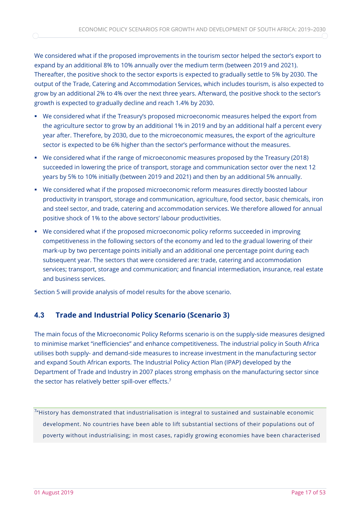We considered what if the proposed improvements in the tourism sector helped the sector's export to expand by an additional 8% to 10% annually over the medium term (between 2019 and 2021). Thereafter, the positive shock to the sector exports is expected to gradually settle to 5% by 2030. The output of the Trade, Catering and Accommodation Services, which includes tourism, is also expected to grow by an additional 2% to 4% over the next three years. Afterward, the positive shock to the sector's growth is expected to gradually decline and reach 1.4% by 2030.

- We considered what if the Treasury's proposed microeconomic measures helped the export from the agriculture sector to grow by an additional 1% in 2019 and by an additional half a percent every year after. Therefore, by 2030, due to the microeconomic measures, the export of the agriculture sector is expected to be 6% higher than the sector's performance without the measures.
- We considered what if the range of microeconomic measures proposed by the Treasury (2018) succeeded in lowering the price of transport, storage and communication sector over the next 12 years by 5% to 10% initially (between 2019 and 2021) and then by an additional 5% annually.
- We considered what if the proposed microeconomic reform measures directly boosted labour productivity in transport, storage and communication, agriculture, food sector, basic chemicals, iron and steel sector, and trade, catering and accommodation services. We therefore allowed for annual positive shock of 1% to the above sectors' labour productivities.
- We considered what if the proposed microeconomic policy reforms succeeded in improving competitiveness in the following sectors of the economy and led to the gradual lowering of their mark-up by two percentage points initially and an additional one percentage point during each subsequent year. The sectors that were considered are: trade, catering and accommodation services; transport, storage and communication; and financial intermediation, insurance, real estate and business services.

Section 5 will provide analysis of model results for the above scenario.

# **4.3 Trade and Industrial Policy Scenario (Scenario 3)**

The main focus of the Microeconomic Policy Reforms scenario is on the supply-side measures designed to minimise market "inefficiencies" and enhance competitiveness. The industrial policy in South Africa utilises both supply- and demand-side measures to increase investment in the manufacturing sector and expand South African exports. The Industrial Policy Action Plan (IPAP) developed by the Department of Trade and Industry in 2007 places strong emphasis on the manufacturing sector since the sector has relatively better spill-over effects.<sup>7</sup>

 $7<sup>7</sup>$ History has demonstrated that industrialisation is integral to sustained and sustainable economic development. No countries have been able to lift substantial sections of their populations out of poverty without industrialising; in most cases, rapidly growing economies have been characterised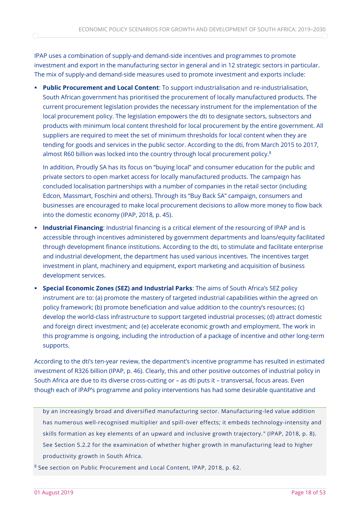IPAP uses a combination of supply-and demand-side incentives and programmes to promote investment and export in the manufacturing sector in general and in 12 strategic sectors in particular. The mix of supply-and demand-side measures used to promote investment and exports include:

▪ **Public Procurement and Local Content**: To support industrialisation and re-industrialisation, South African government has prioritised the procurement of locally manufactured products. The current procurement legislation provides the necessary instrument for the implementation of the local procurement policy. The legislation empowers the dti to designate sectors, subsectors and products with minimum local content threshold for local procurement by the entire government. All suppliers are required to meet the set of minimum thresholds for local content when they are tending for goods and services in the public sector. According to the dti, from March 2015 to 2017, almost R60 billion was locked into the country through local procurement policy.<sup>8</sup>

In addition, Proudly SA has its focus on "buying local" and consumer education for the public and private sectors to open market access for locally manufactured products. The campaign has concluded localisation partnerships with a number of companies in the retail sector (including Edcon, Massmart, Foschini and others). Through its "Buy Back SA" campaign, consumers and businesses are encouraged to make local procurement decisions to allow more money to flow back into the domestic economy (IPAP, 2018, p. 45).

- **.** Industrial Financing: Industrial financing is a critical element of the resourcing of IPAP and is accessible through incentives administered by government departments and loans/equity facilitated through development finance institutions. According to the dti, to stimulate and facilitate enterprise and industrial development, the department has used various incentives. The incentives target investment in plant, machinery and equipment, export marketing and acquisition of business development services.
- **Special Economic Zones (SEZ) and Industrial Parks**: The aims of South Africa's SEZ policy instrument are to: (a) promote the mastery of targeted industrial capabilities within the agreed on policy framework; (b) promote beneficiation and value addition to the country's resources; (c) develop the world-class infrastructure to support targeted industrial processes; (d) attract domestic and foreign direct investment; and (e) accelerate economic growth and employment. The work in this programme is ongoing, including the introduction of a package of incentive and other long-term supports.

According to the dti's ten-year review, the department's incentive programme has resulted in estimated investment of R326 billion (IPAP, p. 46). Clearly, this and other positive outcomes of industrial policy in South Africa are due to its diverse cross-cutting or – as dti puts it – transversal, focus areas. Even though each of IPAP's programme and policy interventions has had some desirable quantitative and

by an increasingly broad and diversified manufacturing sector. Manufacturing-led value addition has numerous well-recognised multiplier and spill-over effects; it embeds technology-intensity and skills formation as key elements of an upward and inclusive growth trajectory." (IPAP, 2018, p. 8). See Section 5.2.2 for the examination of whether higher growth in manufacturing lead to higher productivity growth in South Africa.

<sup>8</sup> See section on Public Procurement and Local Content, IPAP, 2018, p. 62.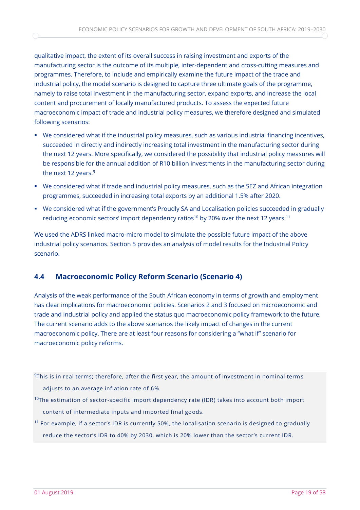qualitative impact, the extent of its overall success in raising investment and exports of the manufacturing sector is the outcome of its multiple, inter-dependent and cross-cutting measures and programmes. Therefore, to include and empirically examine the future impact of the trade and industrial policy, the model scenario is designed to capture three ultimate goals of the programme, namely to raise total investment in the manufacturing sector, expand exports, and increase the local content and procurement of locally manufactured products. To assess the expected future macroeconomic impact of trade and industrial policy measures, we therefore designed and simulated following scenarios:

- We considered what if the industrial policy measures, such as various industrial financing incentives, succeeded in directly and indirectly increasing total investment in the manufacturing sector during the next 12 years. More specifically, we considered the possibility that industrial policy measures will be responsible for the annual addition of R10 billion investments in the manufacturing sector during the next 12 years.<sup>9</sup>
- We considered what if trade and industrial policy measures, such as the SEZ and African integration programmes, succeeded in increasing total exports by an additional 1.5% after 2020.
- We considered what if the government's Proudly SA and Localisation policies succeeded in gradually reducing economic sectors' import dependency ratios<sup>10</sup> by 20% over the next 12 years.<sup>11</sup>

We used the ADRS linked macro-micro model to simulate the possible future impact of the above industrial policy scenarios. Section 5 provides an analysis of model results for the Industrial Policy scenario.

### **4.4 Macroeconomic Policy Reform Scenario (Scenario 4)**

Analysis of the weak performance of the South African economy in terms of growth and employment has clear implications for macroeconomic policies. Scenarios 2 and 3 focused on microeconomic and trade and industrial policy and applied the status quo macroeconomic policy framework to the future. The current scenario adds to the above scenarios the likely impact of changes in the current macroeconomic policy. There are at least four reasons for considering a "what if" scenario for macroeconomic policy reforms.

 $9$ This is in real terms; therefore, after the first year, the amount of investment in nominal terms adjusts to an average inflation rate of 6%.

- $10$ The estimation of sector-specific import dependency rate (IDR) takes into account both import content of intermediate inputs and imported final goods.
- <sup>11</sup> For example, if a sector's IDR is currently 50%, the localisation scenario is designed to gradually reduce the sector's IDR to 40% by 2030, which is 20% lower than the sector's current IDR.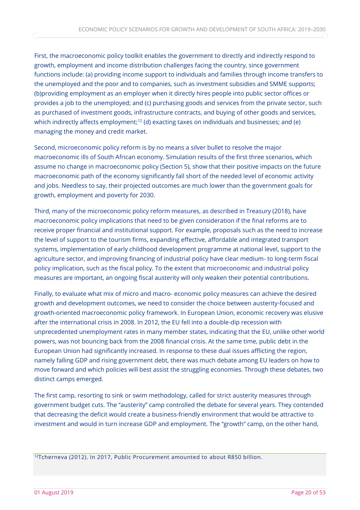First, the macroeconomic policy toolkit enables the government to directly and indirectly respond to growth, employment and income distribution challenges facing the country, since government functions include: (a) providing income support to individuals and families through income transfers to the unemployed and the poor and to companies, such as investment subsidies and SMME supports; (b)providing employment as an employer when it directly hires people into public sector offices or provides a job to the unemployed; and (c) purchasing goods and services from the private sector, such as purchased of investment goods, infrastructure contracts, and buying of other goods and services, which indirectly affects employment;<sup>12</sup> (d) exacting taxes on individuals and businesses; and (e) managing the money and credit market.

Second, microeconomic policy reform is by no means a silver bullet to resolve the major macroeconomic ills of South African economy. Simulation results of the first three scenarios, which assume no change in macroeconomic policy (Section 5), show that their positive impacts on the future macroeconomic path of the economy significantly fall short of the needed level of economic activity and jobs. Needless to say, their projected outcomes are much lower than the government goals for growth, employment and poverty for 2030.

Third, many of the microeconomic policy reform measures, as described in Treasury (2018), have macroeconomic policy implications that need to be given consideration if the final reforms are to receive proper financial and institutional support. For example, proposals such as the need to increase the level of support to the tourism firms, expanding effective, affordable and integrated transport systems, implementation of early childhood development programme at national level, support to the agriculture sector, and improving financing of industrial policy have clear medium- to long-term fiscal policy implication, such as the fiscal policy. To the extent that microeconomic and industrial policy measures are important, an ongoing fiscal austerity will only weaken their potential contributions.

Finally, to evaluate what mix of micro and macro- economic policy measures can achieve the desired growth and development outcomes, we need to consider the choice between austerity-focused and growth-oriented macroeconomic policy framework. In European Union, economic recovery was elusive after the international crisis in 2008. In 2012, the EU fell into a double-dip recession with unprecedented unemployment rates in many member states, indicating that the EU, unlike other world powers, was not bouncing back from the 2008 financial crisis. At the same time, public debt in the European Union had significantly increased. In response to these dual issues afflicting the region, namely falling GDP and rising government debt, there was much debate among EU leaders on how to move forward and which policies will best assist the struggling economies. Through these debates, two distinct camps emerged.

The first camp, resorting to sink or swim methodology, called for strict austerity measures through government budget cuts. The "austerity" camp controlled the debate for several years. They contended that decreasing the deficit would create a business-friendly environment that would be attractive to investment and would in turn increase GDP and employment. The "growth" camp, on the other hand,

<sup>12</sup>Tcherneva (2012). In 2017, Public Procurement amounted to about R850 billion.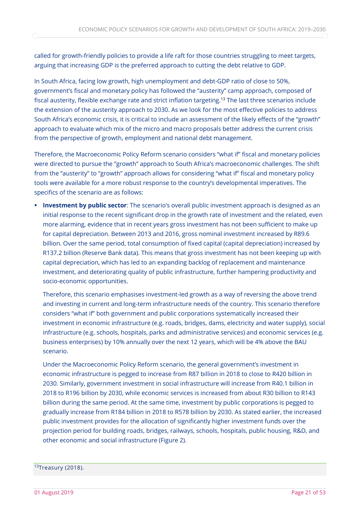called for growth-friendly policies to provide a life raft for those countries struggling to meet targets, arguing that increasing GDP is the preferred approach to cutting the debt relative to GDP.

In South Africa, facing low growth, high unemployment and debt-GDP ratio of close to 50%, government's fiscal and monetary policy has followed the "austerity" camp approach, composed of fiscal austerity, flexible exchange rate and strict inflation targeting. <sup>13</sup> The last three scenarios include the extension of the austerity approach to 2030. As we look for the most effective policies to address South Africa's economic crisis, it is critical to include an assessment of the likely effects of the "growth" approach to evaluate which mix of the micro and macro proposals better address the current crisis from the perspective of growth, employment and national debt management.

Therefore, the Macroeconomic Policy Reform scenario considers "what if" fiscal and monetary policies were directed to pursue the "growth" approach to South Africa's macroeconomic challenges. The shift from the "austerity" to "growth" approach allows for considering "what if" fiscal and monetary policy tools were available for a more robust response to the country's developmental imperatives. The specifics of the scenario are as follows:

**EXED INVESTMENT by public sector:** The scenario's overall public investment approach is designed as an initial response to the recent significant drop in the growth rate of investment and the related, even more alarming, evidence that in recent years gross investment has not been sufficient to make up for capital depreciation. Between 2013 and 2016, gross nominal investment increased by R89.6 billion. Over the same period, total consumption of fixed capital (capital depreciation) increased by R137.2 billion (Reserve Bank data). This means that gross investment has not been keeping up with capital depreciation, which has led to an expanding backlog of replacement and maintenance investment, and deteriorating quality of public infrastructure, further hampering productivity and socio-economic opportunities.

Therefore, this scenario emphasises investment-led growth as a way of reversing the above trend and investing in current and long-term infrastructure needs of the country. This scenario therefore considers "what if" both government and public corporations systematically increased their investment in economic infrastructure (e.g. roads, bridges, dams, electricity and water supply), social infrastructure (e.g. schools, hospitals, parks and administrative services) and economic services (e.g. business enterprises) by 10% annually over the next 12 years, which will be 4% above the BAU scenario.

Under the Macroeconomic Policy Reform scenario, the general government's investment in economic infrastructure is pegged to increase from R87 billion in 2018 to close to R420 billion in 2030. Similarly, government investment in social infrastructure will increase from R40.1 billion in 2018 to R196 billion by 2030, while economic services is increased from about R30 billion to R143 billion during the same period. At the same time, investment by public corporations is pegged to gradually increase from R184 billion in 2018 to R578 billion by 2030. As stated earlier, the increased public investment provides for the allocation of significantly higher investment funds over the projection period for building roads, bridges, railways, schools, hospitals, public housing, R&D, and other economic and social infrastructure (Figure 2).

#### 13Treasury (2018).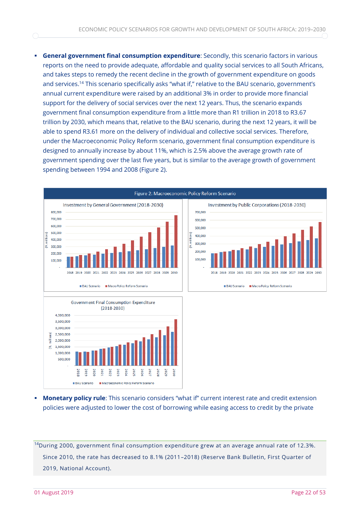**General government final consumption expenditure**: Secondly, this scenario factors in various reports on the need to provide adequate, affordable and quality social services to all South Africans, and takes steps to remedy the recent decline in the growth of government expenditure on goods and services. <sup>14</sup> This scenario specifically asks "what if," relative to the BAU scenario, government's annual current expenditure were raised by an additional 3% in order to provide more financial support for the delivery of social services over the next 12 years. Thus, the scenario expands government final consumption expenditure from a little more than R1 trillion in 2018 to R3.67 trillion by 2030, which means that, relative to the BAU scenario, during the next 12 years, it will be able to spend R3.61 more on the delivery of individual and collective social services. Therefore, under the Macroeconomic Policy Reform scenario, government final consumption expenditure is designed to annually increase by about 11%, which is 2.5% above the average growth rate of government spending over the last five years, but is similar to the average growth of government spending between 1994 and 2008 (Figure 2).



**Monetary policy rule**: This scenario considers "what if" current interest rate and credit extension policies were adjusted to lower the cost of borrowing while easing access to credit by the private

 $14$ During 2000, government final consumption expenditure grew at an average annual rate of 12.3%. Since 2010, the rate has decreased to 8.1% (2011–2018) (Reserve Bank Bulletin, First Quarter of 2019, National Account).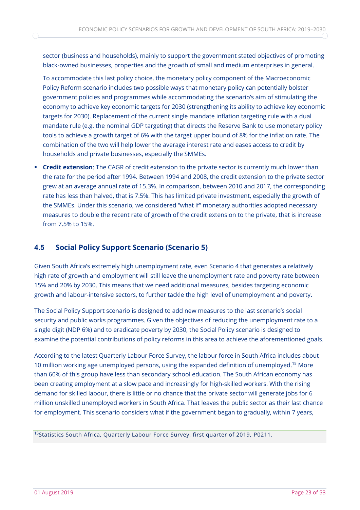sector (business and households), mainly to support the government stated objectives of promoting black-owned businesses, properties and the growth of small and medium enterprises in general.

To accommodate this last policy choice, the monetary policy component of the Macroeconomic Policy Reform scenario includes two possible ways that monetary policy can potentially bolster government policies and programmes while accommodating the scenario's aim of stimulating the economy to achieve key economic targets for 2030 (strengthening its ability to achieve key economic targets for 2030). Replacement of the current single mandate inflation targeting rule with a dual mandate rule (e.g. the nominal GDP targeting) that directs the Reserve Bank to use monetary policy tools to achieve a growth target of 6% with the target upper bound of 8% for the inflation rate. The combination of the two will help lower the average interest rate and eases access to credit by households and private businesses, especially the SMMEs.

**Example 2 Credit extension:** The CAGR of credit extension to the private sector is currently much lower than the rate for the period after 1994. Between 1994 and 2008, the credit extension to the private sector grew at an average annual rate of 15.3%. In comparison, between 2010 and 2017, the corresponding rate has less than halved, that is 7.5%. This has limited private investment, especially the growth of the SMMEs. Under this scenario, we considered "what if" monetary authorities adopted necessary measures to double the recent rate of growth of the credit extension to the private, that is increase from 7.5% to 15%.

# **4.5 Social Policy Support Scenario (Scenario 5)**

Given South Africa's extremely high unemployment rate, even Scenario 4 that generates a relatively high rate of growth and employment will still leave the unemployment rate and poverty rate between 15% and 20% by 2030. This means that we need additional measures, besides targeting economic growth and labour-intensive sectors, to further tackle the high level of unemployment and poverty.

The Social Policy Support scenario is designed to add new measures to the last scenario's social security and public works programmes. Given the objectives of reducing the unemployment rate to a single digit (NDP 6%) and to eradicate poverty by 2030, the Social Policy scenario is designed to examine the potential contributions of policy reforms in this area to achieve the aforementioned goals.

According to the latest Quarterly Labour Force Survey, the labour force in South Africa includes about 10 million working age unemployed persons, using the expanded definition of unemployed. <sup>15</sup> More than 60% of this group have less than secondary school education. The South African economy has been creating employment at a slow pace and increasingly for high-skilled workers. With the rising demand for skilled labour, there is little or no chance that the private sector will generate jobs for 6 million unskilled unemployed workers in South Africa. That leaves the public sector as their last chance for employment. This scenario considers what if the government began to gradually, within 7 years,

<sup>15</sup>Statistics South Africa, Quarterly Labour Force Survey, first quarter of 2019, P0211.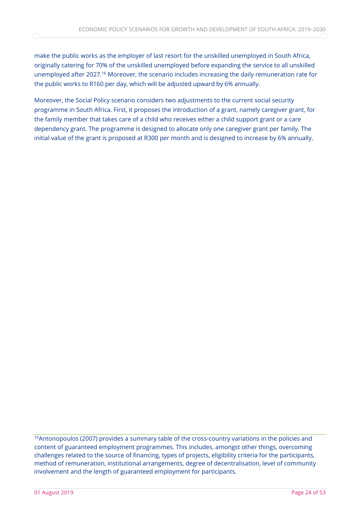make the public works as the employer of last resort for the unskilled unemployed in South Africa, originally catering for 70% of the unskilled unemployed before expanding the service to all unskilled unemployed after 2027. <sup>16</sup> Moreover, the scenario includes increasing the daily remuneration rate for the public works to R160 per day, which will be adjusted upward by 6% annually.

Moreover, the Social Policy scenario considers two adjustments to the current social security programme in South Africa. First, it proposes the introduction of a grant, namely caregiver grant, for the family member that takes care of a child who receives either a child support grant or a care dependency grant. The programme is designed to allocate only one caregiver grant per family. The initial value of the grant is proposed at R300 per month and is designed to increase by 6% annually.

<sup>16</sup>Antonopoulos (2007) provides a summary table of the cross-country variations in the policies and content of guaranteed employment programmes. This includes, amongst other things, overcoming challenges related to the source of financing, types of projects, eligibility criteria for the participants, method of remuneration, institutional arrangements, degree of decentralisation, level of community involvement and the length of guaranteed employment for participants.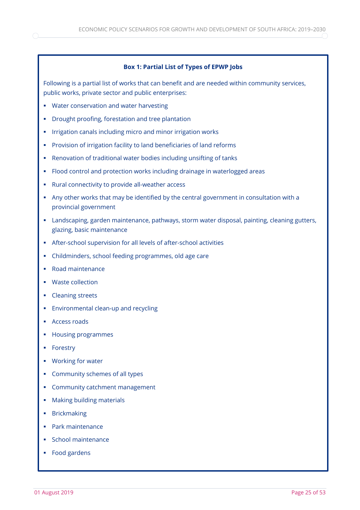### **Box 1: Partial List of Types of EPWP Jobs**

Following is a partial list of works that can benefit and are needed within community services, public works, private sector and public enterprises:

- Water conservation and water harvesting
- Drought proofing, forestation and tree plantation
- **.** Irrigation canals including micro and minor irrigation works
- Provision of irrigation facility to land beneficiaries of land reforms
- Renovation of traditional water bodies including unsifting of tanks
- Flood control and protection works including drainage in waterlogged areas
- Rural connectivity to provide all-weather access
- Any other works that may be identified by the central government in consultation with a provincial government
- **•** Landscaping, garden maintenance, pathways, storm water disposal, painting, cleaning gutters, glazing, basic maintenance
- After-school supervision for all levels of after-school activities
- Childminders, school feeding programmes, old age care
- Road maintenance
- **Waste collection**
- **•** Cleaning streets
- **Environmental clean-up and recycling**
- **Access roads**
- Housing programmes
- **■** Forestry
- Working for water
- Community schemes of all types
- **Community catchment management**
- Making building materials
- **■** Brickmaking
- Park maintenance
- School maintenance
- Food gardens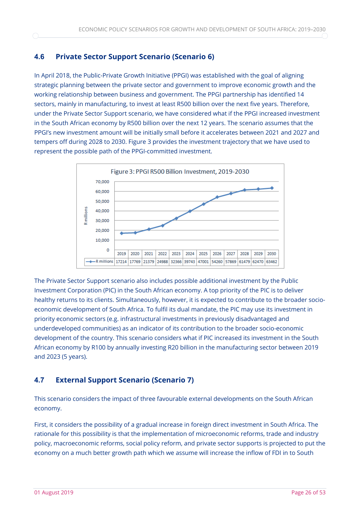# **4.6 Private Sector Support Scenario (Scenario 6)**

In April 2018, the Public-Private Growth Initiative (PPGI) was established with the goal of aligning strategic planning between the private sector and government to improve economic growth and the working relationship between business and government. The PPGI partnership has identified 14 sectors, mainly in manufacturing, to invest at least R500 billion over the next five years. Therefore, under the Private Sector Support scenario, we have considered what if the PPGI increased investment in the South African economy by R500 billion over the next 12 years. The scenario assumes that the PPGI's new investment amount will be initially small before it accelerates between 2021 and 2027 and tempers off during 2028 to 2030. Figure 3 provides the investment trajectory that we have used to represent the possible path of the PPGI-committed investment.



The Private Sector Support scenario also includes possible additional investment by the Public Investment Corporation (PIC) in the South African economy. A top priority of the PIC is to deliver healthy returns to its clients. Simultaneously, however, it is expected to contribute to the broader socioeconomic development of South Africa. To fulfil its dual mandate, the PIC may use its investment in priority economic sectors (e.g. infrastructural investments in previously disadvantaged and underdeveloped communities) as an indicator of its contribution to the broader socio-economic development of the country. This scenario considers what if PIC increased its investment in the South African economy by R100 by annually investing R20 billion in the manufacturing sector between 2019 and 2023 (5 years).

# **4.7 External Support Scenario (Scenario 7)**

This scenario considers the impact of three favourable external developments on the South African economy.

First, it considers the possibility of a gradual increase in foreign direct investment in South Africa. The rationale for this possibility is that the implementation of microeconomic reforms, trade and industry policy, macroeconomic reforms, social policy reform, and private sector supports is projected to put the economy on a much better growth path which we assume will increase the inflow of FDI in to South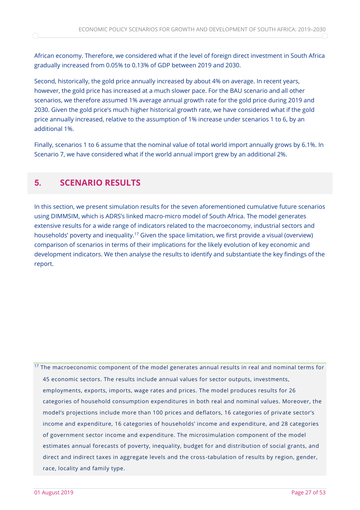African economy. Therefore, we considered what if the level of foreign direct investment in South Africa gradually increased from 0.05% to 0.13% of GDP between 2019 and 2030.

Second, historically, the gold price annually increased by about 4% on average. In recent years, however, the gold price has increased at a much slower pace. For the BAU scenario and all other scenarios, we therefore assumed 1% average annual growth rate for the gold price during 2019 and 2030. Given the gold price's much higher historical growth rate, we have considered what if the gold price annually increased, relative to the assumption of 1% increase under scenarios 1 to 6, by an additional 1%.

Finally, scenarios 1 to 6 assume that the nominal value of total world import annually grows by 6.1%. In Scenario 7, we have considered what if the world annual import grew by an additional 2%.

# **5. SCENARIO RESULTS**

In this section, we present simulation results for the seven aforementioned cumulative future scenarios using DIMMSIM, which is ADRS's linked macro-micro model of South Africa. The model generates extensive results for a wide range of indicators related to the macroeconomy, industrial sectors and households' poverty and inequality.<sup>17</sup> Given the space limitation, we first provide a visual (overview) comparison of scenarios in terms of their implications for the likely evolution of key economic and development indicators. We then analyse the results to identify and substantiate the key findings of the report.

 $17$  The macroeconomic component of the model generates annual results in real and nominal terms for 45 economic sectors. The results include annual values for sector outputs, investments, employments, exports, imports, wage rates and prices. The model produces results for 26 categories of household consumption expenditures in both real and nominal values. Moreover, the model's projections include more than 100 prices and deflators, 16 categories of priv ate sector's income and expenditure, 16 categories of households' income and expenditure, and 28 categories of government sector income and expenditure. The microsimulation component of the model estimates annual forecasts of poverty, inequality, budget for and distribution of social grants, and direct and indirect taxes in aggregate levels and the cross -tabulation of results by region, gender, race, locality and family type.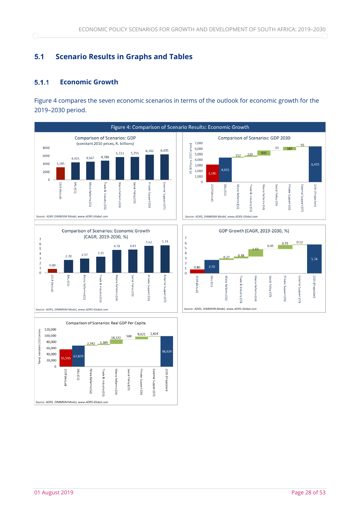# **5.1 Scenario Results in Graphs and Tables**

#### $5.1.1$ **Economic Growth**

∩

Figure 4 compares the seven economic scenarios in terms of the outlook for economic growth for the 2019–2030 period.









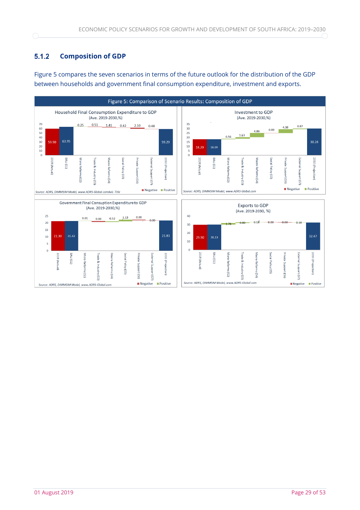#### $5.1.2$ **Composition of GDP**

Figure 5 compares the seven scenarios in terms of the future outlook for the distribution of the GDP between households and government final consumption expenditure, investment and exports.

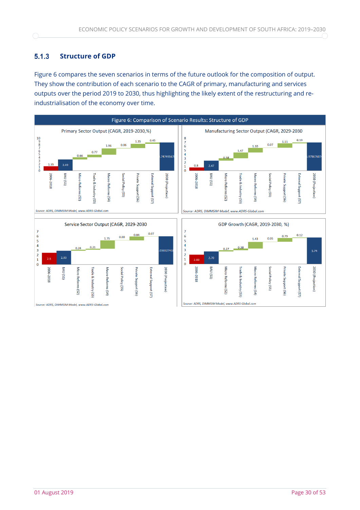#### $5.1.3$ **Structure of GDP**

Figure 6 compares the seven scenarios in terms of the future outlook for the composition of output. They show the contribution of each scenario to the CAGR of primary, manufacturing and services outputs over the period 2019 to 2030, thus highlighting the likely extent of the restructuring and reindustrialisation of the economy over time.





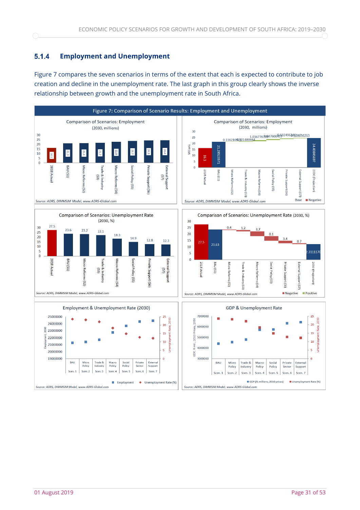#### **Employment and Unemployment**  $5.1.4$

Figure 7 compares the seven scenarios in terms of the extent that each is expected to contribute to job creation and decline in the unemployment rate. The last graph in this group clearly shows the inverse relationship between growth and the unemployment rate in South Africa.









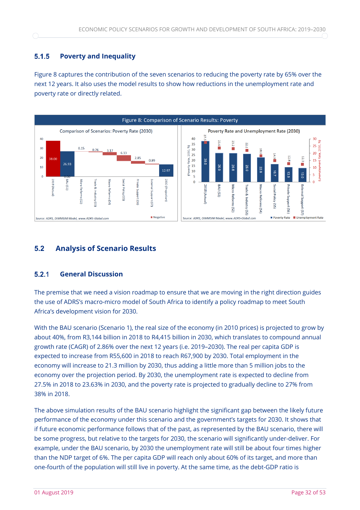#### $5.1.5$ **Poverty and Inequality**

Figure 8 captures the contribution of the seven scenarios to reducing the poverty rate by 65% over the next 12 years. It also uses the model results to show how reductions in the unemployment rate and poverty rate or directly related.



# **5.2 Analysis of Scenario Results**

#### $5.2.1$ **General Discussion**

The premise that we need a vision roadmap to ensure that we are moving in the right direction guides the use of ADRS's macro-micro model of South Africa to identify a policy roadmap to meet South Africa's development vision for 2030.

With the BAU scenario (Scenario 1), the real size of the economy (in 2010 prices) is projected to grow by about 40%, from R3,144 billion in 2018 to R4,415 billion in 2030, which translates to compound annual growth rate (CAGR) of 2.86% over the next 12 years (i.e. 2019–2030). The real per capita GDP is expected to increase from R55,600 in 2018 to reach R67,900 by 2030. Total employment in the economy will increase to 21.3 million by 2030, thus adding a little more than 5 million jobs to the economy over the projection period. By 2030, the unemployment rate is expected to decline from 27.5% in 2018 to 23.63% in 2030, and the poverty rate is projected to gradually decline to 27% from 38% in 2018.

The above simulation results of the BAU scenario highlight the significant gap between the likely future performance of the economy under this scenario and the government's targets for 2030. It shows that if future economic performance follows that of the past, as represented by the BAU scenario, there will be some progress, but relative to the targets for 2030, the scenario will significantly under-deliver. For example, under the BAU scenario, by 2030 the unemployment rate will still be about four times higher than the NDP target of 6%. The per capita GDP will reach only about 60% of its target, and more than one-fourth of the population will still live in poverty. At the same time, as the debt-GDP ratio is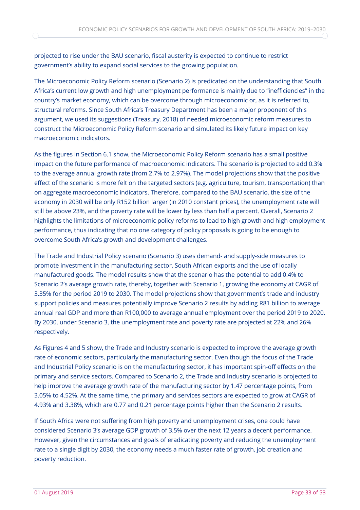projected to rise under the BAU scenario, fiscal austerity is expected to continue to restrict government's ability to expand social services to the growing population.

The Microeconomic Policy Reform scenario (Scenario 2) is predicated on the understanding that South Africa's current low growth and high unemployment performance is mainly due to "inefficiencies" in the country's market economy, which can be overcome through microeconomic or, as it is referred to, structural reforms. Since South Africa's Treasury Department has been a major proponent of this argument, we used its suggestions (Treasury, 2018) of needed microeconomic reform measures to construct the Microeconomic Policy Reform scenario and simulated its likely future impact on key macroeconomic indicators.

As the figures in Section 6.1 show, the Microeconomic Policy Reform scenario has a small positive impact on the future performance of macroeconomic indicators. The scenario is projected to add 0.3% to the average annual growth rate (from 2.7% to 2.97%). The model projections show that the positive effect of the scenario is more felt on the targeted sectors (e.g. agriculture, tourism, transportation) than on aggregate macroeconomic indicators. Therefore, compared to the BAU scenario, the size of the economy in 2030 will be only R152 billion larger (in 2010 constant prices), the unemployment rate will still be above 23%, and the poverty rate will be lower by less than half a percent. Overall, Scenario 2 highlights the limitations of microeconomic policy reforms to lead to high growth and high employment performance, thus indicating that no one category of policy proposals is going to be enough to overcome South Africa's growth and development challenges.

The Trade and Industrial Policy scenario (Scenario 3) uses demand- and supply-side measures to promote investment in the manufacturing sector, South African exports and the use of locally manufactured goods. The model results show that the scenario has the potential to add 0.4% to Scenario 2's average growth rate, thereby, together with Scenario 1, growing the economy at CAGR of 3.35% for the period 2019 to 2030. The model projections show that government's trade and industry support policies and measures potentially improve Scenario 2 results by adding R81 billion to average annual real GDP and more than R100,000 to average annual employment over the period 2019 to 2020. By 2030, under Scenario 3, the unemployment rate and poverty rate are projected at 22% and 26% respectively.

As Figures 4 and 5 show, the Trade and Industry scenario is expected to improve the average growth rate of economic sectors, particularly the manufacturing sector. Even though the focus of the Trade and Industrial Policy scenario is on the manufacturing sector, it has important spin-off effects on the primary and service sectors. Compared to Scenario 2, the Trade and Industry scenario is projected to help improve the average growth rate of the manufacturing sector by 1.47 percentage points, from 3.05% to 4.52%. At the same time, the primary and services sectors are expected to grow at CAGR of 4.93% and 3.38%, which are 0.77 and 0.21 percentage points higher than the Scenario 2 results.

If South Africa were not suffering from high poverty and unemployment crises, one could have considered Scenario 3's average GDP growth of 3.5% over the next 12 years a decent performance. However, given the circumstances and goals of eradicating poverty and reducing the unemployment rate to a single digit by 2030, the economy needs a much faster rate of growth, job creation and poverty reduction.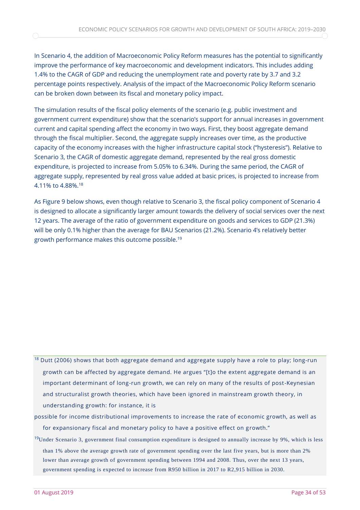In Scenario 4, the addition of Macroeconomic Policy Reform measures has the potential to significantly improve the performance of key macroeconomic and development indicators. This includes adding 1.4% to the CAGR of GDP and reducing the unemployment rate and poverty rate by 3.7 and 3.2 percentage points respectively. Analysis of the impact of the Macroeconomic Policy Reform scenario can be broken down between its fiscal and monetary policy impact.

The simulation results of the fiscal policy elements of the scenario (e.g. public investment and government current expenditure) show that the scenario's support for annual increases in government current and capital spending affect the economy in two ways. First, they boost aggregate demand through the fiscal multiplier. Second, the aggregate supply increases over time, as the productive capacity of the economy increases with the higher infrastructure capital stock ("hysteresis"). Relative to Scenario 3, the CAGR of domestic aggregate demand, represented by the real gross domestic expenditure, is projected to increase from 5.05% to 6.34%. During the same period, the CAGR of aggregate supply, represented by real gross value added at basic prices, is projected to increase from 4.11% to 4.88%.<sup>18</sup>

As Figure 9 below shows, even though relative to Scenario 3, the fiscal policy component of Scenario 4 is designed to allocate a significantly larger amount towards the delivery of social services over the next 12 years. The average of the ratio of government expenditure on goods and services to GDP (21.3%) will be only 0.1% higher than the average for BAU Scenarios (21.2%). Scenario 4's relatively better growth performance makes this outcome possible.<sup>19</sup>

- <sup>18</sup> Dutt (2006) shows that both aggregate demand and aggregate supply have a role to play; long-run growth can be affected by aggregate demand. He argues "[t]o the extent aggregate demand is an important determinant of long-run growth, we can rely on many of the results of post-Keynesian and structuralist growth theories, which have been ignored in mainstream growth theory, in understanding growth: for instance, it is
- possible for income distributional improvements to increase the rate of economic growth, as well as for expansionary fiscal and monetary policy to have a positive effect on growth."
- <sup>19</sup>Under Scenario 3, government final consumption expenditure is designed to annually increase by 9%, which is less than 1% above the average growth rate of government spending over the last five years, but is more than 2% lower than average growth of government spending between 1994 and 2008. Thus, over the next 13 years, government spending is expected to increase from R950 billion in 2017 to R2,915 billion in 2030.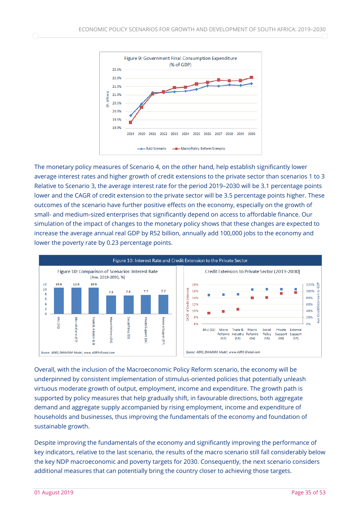

The monetary policy measures of Scenario 4, on the other hand, help establish significantly lower average interest rates and higher growth of credit extensions to the private sector than scenarios 1 to 3 Relative to Scenario 3, the average interest rate for the period 2019–2030 will be 3.1 percentage points lower and the CAGR of credit extension to the private sector will be 3.5 percentage points higher. These outcomes of the scenario have further positive effects on the economy, especially on the growth of small- and medium-sized enterprises that significantly depend on access to affordable finance. Our simulation of the impact of changes to the monetary policy shows that these changes are expected to increase the average annual real GDP by R52 billion, annually add 100,000 jobs to the economy and lower the poverty rate by 0.23 percentage points.



Overall, with the inclusion of the Macroeconomic Policy Reform scenario, the economy will be underpinned by consistent implementation of stimulus-oriented policies that potentially unleash virtuous moderate growth of output, employment, income and expenditure. The growth path is supported by policy measures that help gradually shift, in favourable directions, both aggregate demand and aggregate supply accompanied by rising employment, income and expenditure of households and businesses, thus improving the fundamentals of the economy and foundation of sustainable growth.

Despite improving the fundamentals of the economy and significantly improving the performance of key indicators, relative to the last scenario, the results of the macro scenario still fall considerably below the key NDP macroeconomic and poverty targets for 2030. Consequently, the next scenario considers additional measures that can potentially bring the country closer to achieving those targets.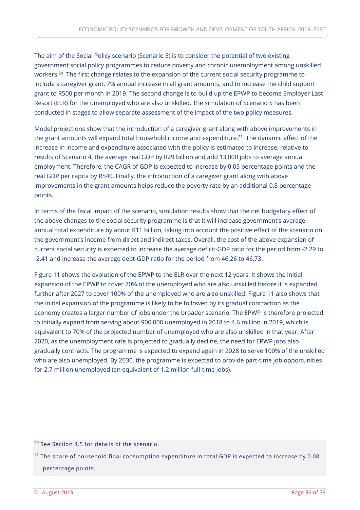The aim of the Social Policy scenario (Scenario 5) is to consider the potential of two existing government social policy programmes to reduce poverty and chronic unemployment among unskilled workers.<sup>20</sup> The first change relates to the expansion of the current social security programme to include a caregiver grant, 7% annual increase in all grant amounts, and to increase the child support grant to R500 per month in 2019. The second change is to build up the EPWP to become Employer Last Resort (ELR) for the unemployed who are also unskilled. The simulation of Scenario 5 has been conducted in stages to allow separate assessment of the impact of the two policy measures.

Model projections show that the introduction of a caregiver grant along with above improvements in the grant amounts will expand total household income and expenditure. <sup>21</sup> The dynamic effect of the increase in income and expenditure associated with the policy is estimated to increase, relative to results of Scenario 4, the average real GDP by R29 billion and add 13,000 jobs to average annual employment. Therefore, the CAGR of GDP is expected to increase by 0.05 percentage points and the real GDP per capita by R540. Finally, the introduction of a caregiver grant along with above improvements in the grant amounts helps reduce the poverty rate by an additional 0.8 percentage points.

In terms of the fiscal impact of the scenario, simulation results show that the net budgetary effect of the above changes to the social security programme is that it will increase government's average annual total expenditure by about R11 billion, taking into account the positive effect of the scenario on the government's income from direct and indirect taxes. Overall, the cost of the above expansion of current social security is expected to increase the average deficit-GDP ratio for the period from -2.29 to -2.41 and increase the average debt-GDP ratio for the period from 46.26 to 46.73.

Figure 11 shows the evolution of the EPWP to the ELR over the next 12 years. It shows the initial expansion of the EPWP to cover 70% of the unemployed who are also unskilled before it is expanded further after 2027 to cover 100% of the unemployed who are also unskilled. Figure 11 also shows that the initial expansion of the programme is likely to be followed by its gradual contraction as the economy creates a larger number of jobs under the broader scenario. The EPWP is therefore projected to initially expand from serving about 900,000 unemployed in 2018 to 4.6 million in 2019, which is equivalent to 70% of the projected number of unemployed who are also unskilled in that year. After 2020, as the unemployment rate is projected to gradually decline, the need for EPWP jobs also gradually contracts. The programme is expected to expand again in 2028 to serve 100% of the unskilled who are also unemployed. By 2030, the programme is expected to provide part-time job opportunities for 2.7 million unemployed (an equivalent of 1.2 million full-time jobs).

<sup>20</sup> See Section 4.5 for details of the scenario.

<sup>&</sup>lt;sup>21</sup> The share of household final consumption expenditure in total GDP is expected to increase by 0.08 percentage points.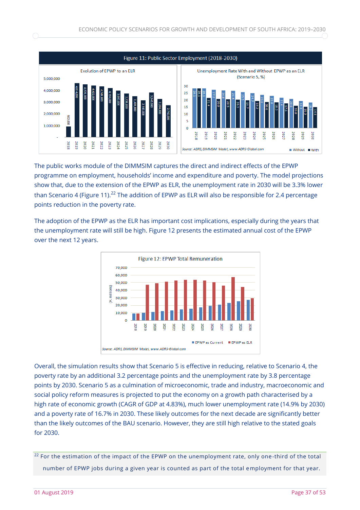

The public works module of the DIMMSIM captures the direct and indirect effects of the EPWP programme on employment, households' income and expenditure and poverty. The model projections show that, due to the extension of the EPWP as ELR, the unemployment rate in 2030 will be 3.3% lower than Scenario 4 (Figure 11).<sup>22</sup> The addition of EPWP as ELR will also be responsible for 2.4 percentage points reduction in the poverty rate.

The adoption of the EPWP as the ELR has important cost implications, especially during the years that the unemployment rate will still be high. Figure 12 presents the estimated annual cost of the EPWP over the next 12 years.



Overall, the simulation results show that Scenario 5 is effective in reducing, relative to Scenario 4, the poverty rate by an additional 3.2 percentage points and the unemployment rate by 3.8 percentage points by 2030. Scenario 5 as a culmination of microeconomic, trade and industry, macroeconomic and social policy reform measures is projected to put the economy on a growth path characterised by a high rate of economic growth (CAGR of GDP at 4.83%), much lower unemployment rate (14.9% by 2030) and a poverty rate of 16.7% in 2030. These likely outcomes for the next decade are significantly better than the likely outcomes of the BAU scenario. However, they are still high relative to the stated goals for 2030.

<sup>22</sup> For the estimation of the impact of the EPWP on the unemployment rate, only one-third of the total number of EPWP jobs during a given year is counted as part of the total employment for that year.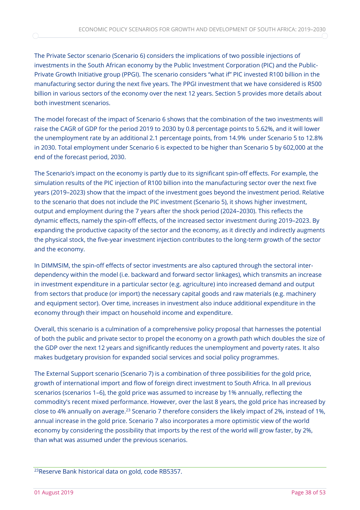The Private Sector scenario (Scenario 6) considers the implications of two possible injections of investments in the South African economy by the Public Investment Corporation (PIC) and the Public-Private Growth Initiative group (PPGI). The scenario considers "what if" PIC invested R100 billion in the manufacturing sector during the next five years. The PPGI investment that we have considered is R500 billion in various sectors of the economy over the next 12 years. Section 5 provides more details about both investment scenarios.

The model forecast of the impact of Scenario 6 shows that the combination of the two investments will raise the CAGR of GDP for the period 2019 to 2030 by 0.8 percentage points to 5.62%, and it will lower the unemployment rate by an additional 2.1 percentage points, from 14.9% under Scenario 5 to 12.8% in 2030. Total employment under Scenario 6 is expected to be higher than Scenario 5 by 602,000 at the end of the forecast period, 2030.

The Scenario's impact on the economy is partly due to its significant spin-off effects. For example, the simulation results of the PIC injection of R100 billion into the manufacturing sector over the next five years (2019–2023) show that the impact of the investment goes beyond the investment period. Relative to the scenario that does not include the PIC investment (Scenario 5), it shows higher investment, output and employment during the 7 years after the shock period (2024–2030). This reflects the dynamic effects, namely the spin-off effects, of the increased sector investment during 2019–2023. By expanding the productive capacity of the sector and the economy, as it directly and indirectly augments the physical stock, the five-year investment injection contributes to the long-term growth of the sector and the economy.

In DIMMSIM, the spin-off effects of sector investments are also captured through the sectoral interdependency within the model (i.e. backward and forward sector linkages), which transmits an increase in investment expenditure in a particular sector (e.g. agriculture) into increased demand and output from sectors that produce (or import) the necessary capital goods and raw materials (e.g. machinery and equipment sector). Over time, increases in investment also induce additional expenditure in the economy through their impact on household income and expenditure.

Overall, this scenario is a culmination of a comprehensive policy proposal that harnesses the potential of both the public and private sector to propel the economy on a growth path which doubles the size of the GDP over the next 12 years and significantly reduces the unemployment and poverty rates. It also makes budgetary provision for expanded social services and social policy programmes.

The External Support scenario (Scenario 7) is a combination of three possibilities for the gold price, growth of international import and flow of foreign direct investment to South Africa. In all previous scenarios (scenarios 1–6), the gold price was assumed to increase by 1% annually, reflecting the commodity's recent mixed performance. However, over the last 8 years, the gold price has increased by close to 4% annually on average.<sup>23</sup> Scenario 7 therefore considers the likely impact of 2%, instead of 1%, annual increase in the gold price. Scenario 7 also incorporates a more optimistic view of the world economy by considering the possibility that imports by the rest of the world will grow faster, by 2%, than what was assumed under the previous scenarios.

<sup>23</sup>Reserve Bank historical data on gold, code RB5357.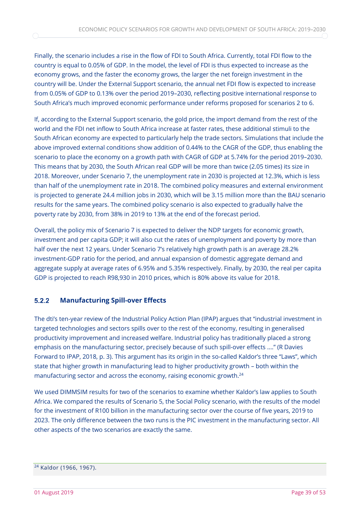Finally, the scenario includes a rise in the flow of FDI to South Africa. Currently, total FDI flow to the country is equal to 0.05% of GDP. In the model, the level of FDI is thus expected to increase as the economy grows, and the faster the economy grows, the larger the net foreign investment in the country will be. Under the External Support scenario, the annual net FDI flow is expected to increase from 0.05% of GDP to 0.13% over the period 2019–2030, reflecting positive international response to South Africa's much improved economic performance under reforms proposed for scenarios 2 to 6.

If, according to the External Support scenario, the gold price, the import demand from the rest of the world and the FDI net inflow to South Africa increase at faster rates, these additional stimuli to the South African economy are expected to particularly help the trade sectors. Simulations that include the above improved external conditions show addition of 0.44% to the CAGR of the GDP, thus enabling the scenario to place the economy on a growth path with CAGR of GDP at 5.74% for the period 2019–2030. This means that by 2030, the South African real GDP will be more than twice (2.05 times) its size in 2018. Moreover, under Scenario 7, the unemployment rate in 2030 is projected at 12.3%, which is less than half of the unemployment rate in 2018. The combined policy measures and external environment is projected to generate 24.4 million jobs in 2030, which will be 3.15 million more than the BAU scenario results for the same years. The combined policy scenario is also expected to gradually halve the poverty rate by 2030, from 38% in 2019 to 13% at the end of the forecast period.

Overall, the policy mix of Scenario 7 is expected to deliver the NDP targets for economic growth, investment and per capita GDP; it will also cut the rates of unemployment and poverty by more than half over the next 12 years. Under Scenario 7's relatively high growth path is an average 28.2% investment-GDP ratio for the period, and annual expansion of domestic aggregate demand and aggregate supply at average rates of 6.95% and 5.35% respectively. Finally, by 2030, the real per capita GDP is projected to reach R98,930 in 2010 prices, which is 80% above its value for 2018.

#### $5.2.2$ **Manufacturing Spill-over Effects**

The dti's ten-year review of the Industrial Policy Action Plan (IPAP) argues that "industrial investment in targeted technologies and sectors spills over to the rest of the economy, resulting in generalised productivity improvement and increased welfare. Industrial policy has traditionally placed a strong emphasis on the manufacturing sector, precisely because of such spill-over effects ...." (R Davies Forward to IPAP, 2018, p. 3). This argument has its origin in the so-called Kaldor's three "Laws", which state that higher growth in manufacturing lead to higher productivity growth – both within the manufacturing sector and across the economy, raising economic growth. 24

We used DIMMSIM results for two of the scenarios to examine whether Kaldor's law applies to South Africa. We compared the results of Scenario 5, the Social Policy scenario, with the results of the model for the investment of R100 billion in the manufacturing sector over the course of five years, 2019 to 2023. The only difference between the two runs is the PIC investment in the manufacturing sector. All other aspects of the two scenarios are exactly the same.

 $24$  Kaldor (1966, 1967).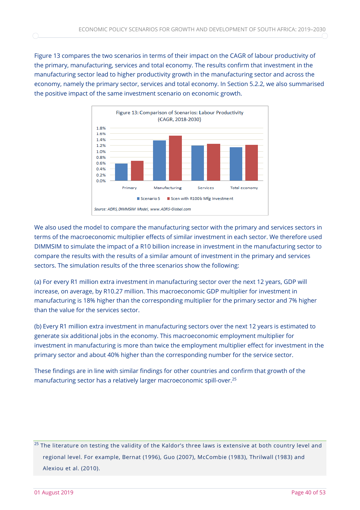Figure 13 compares the two scenarios in terms of their impact on the CAGR of labour productivity of the primary, manufacturing, services and total economy. The results confirm that investment in the manufacturing sector lead to higher productivity growth in the manufacturing sector and across the economy, namely the primary sector, services and total economy. In Section 5.2.2, we also summarised the positive impact of the same investment scenario on economic growth.



We also used the model to compare the manufacturing sector with the primary and services sectors in terms of the macroeconomic multiplier effects of similar investment in each sector. We therefore used DIMMSIM to simulate the impact of a R10 billion increase in investment in the manufacturing sector to compare the results with the results of a similar amount of investment in the primary and services sectors. The simulation results of the three scenarios show the following:

(a) For every R1 million extra investment in manufacturing sector over the next 12 years, GDP will increase, on average, by R10.27 million. This macroeconomic GDP multiplier for investment in manufacturing is 18% higher than the corresponding multiplier for the primary sector and 7% higher than the value for the services sector.

(b) Every R1 million extra investment in manufacturing sectors over the next 12 years is estimated to generate six additional jobs in the economy. This macroeconomic employment multiplier for investment in manufacturing is more than twice the employment multiplier effect for investment in the primary sector and about 40% higher than the corresponding number for the service sector.

These findings are in line with similar findings for other countries and confirm that growth of the manufacturing sector has a relatively larger macroeconomic spill-over.<sup>25</sup>

<sup>25</sup> The literature on testing the validity of the Kaldor's three laws is extensive at both country level and regional level. For example, Bernat (1996), Guo (2007), McCombie (1983), Thrilwall (1983) and Alexiou et al. (2010).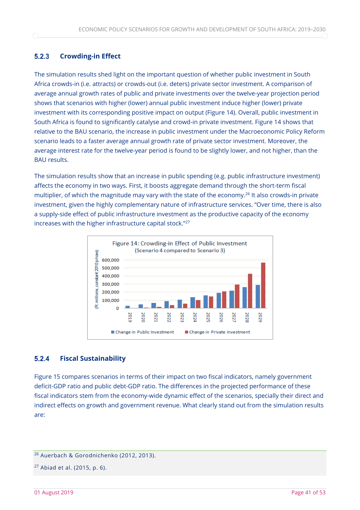#### $5.2.3$ **Crowding-in Effect**

The simulation results shed light on the important question of whether public investment in South Africa crowds-in (i.e. attracts) or crowds-out (i.e. deters) private sector investment. A comparison of average annual growth rates of public and private investments over the twelve-year projection period shows that scenarios with higher (lower) annual public investment induce higher (lower) private investment with its corresponding positive impact on output (Figure 14). Overall, public investment in South Africa is found to significantly catalyse and crowd-in private investment. Figure 14 shows that relative to the BAU scenario, the increase in public investment under the Macroeconomic Policy Reform scenario leads to a faster average annual growth rate of private sector investment. Moreover, the average interest rate for the twelve-year period is found to be slightly lower, and not higher, than the BAU results.

The simulation results show that an increase in public spending (e.g. public infrastructure investment) affects the economy in two ways. First, it boosts aggregate demand through the short-term fiscal multiplier, of which the magnitude may vary with the state of the economy. <sup>26</sup> It also crowds-in private investment, given the highly complementary nature of infrastructure services. "Over time, there is also a supply-side effect of public infrastructure investment as the productive capacity of the economy increases with the higher infrastructure capital stock."<sup>27</sup>



#### $5.2.4$ **Fiscal Sustainability**

Figure 15 compares scenarios in terms of their impact on two fiscal indicators, namely government deficit-GDP ratio and public debt-GDP ratio. The differences in the projected performance of these fiscal indicators stem from the economy-wide dynamic effect of the scenarios, specially their direct and indirect effects on growth and government revenue. What clearly stand out from the simulation results are:

<sup>26</sup> Auerbach & Gorodnichenko (2012, 2013).

 $27$  Abiad et al. (2015, p. 6).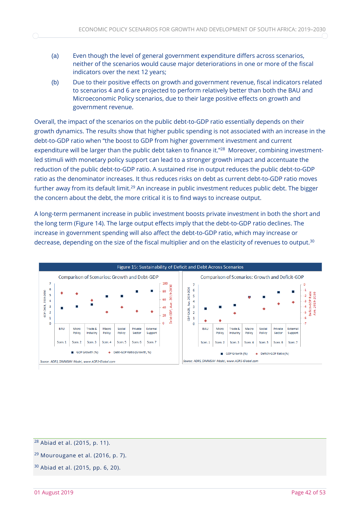- (a) Even though the level of general government expenditure differs across scenarios, neither of the scenarios would cause major deteriorations in one or more of the fiscal indicators over the next 12 years;
- (b) Due to their positive effects on growth and government revenue, fiscal indicators related to scenarios 4 and 6 are projected to perform relatively better than both the BAU and Microeconomic Policy scenarios, due to their large positive effects on growth and government revenue.

Overall, the impact of the scenarios on the public debt-to-GDP ratio essentially depends on their growth dynamics. The results show that higher public spending is not associated with an increase in the debt-to-GDP ratio when "the boost to GDP from higher government investment and current expenditure will be larger than the public debt taken to finance it."<sup>28</sup> Moreover, combining investmentled stimuli with monetary policy support can lead to a stronger growth impact and accentuate the reduction of the public debt-to-GDP ratio. A sustained rise in output reduces the public debt-to-GDP ratio as the denominator increases. It thus reduces risks on debt as current debt-to-GDP ratio moves further away from its default limit.<sup>29</sup> An increase in public investment reduces public debt. The bigger the concern about the debt, the more critical it is to find ways to increase output.

A long-term permanent increase in public investment boosts private investment in both the short and the long term (Figure 14). The large output effects imply that the debt-to-GDP ratio declines. The increase in government spending will also affect the debt-to-GDP ratio, which may increase or decrease, depending on the size of the fiscal multiplier and on the elasticity of revenues to output.<sup>30</sup>



<sup>28</sup> Abiad et al. (2015, p. 11).

<sup>29</sup> Mourougane et al. (2016, p. 7).

<sup>30</sup> Abiad et al. (2015, pp. 6, 20).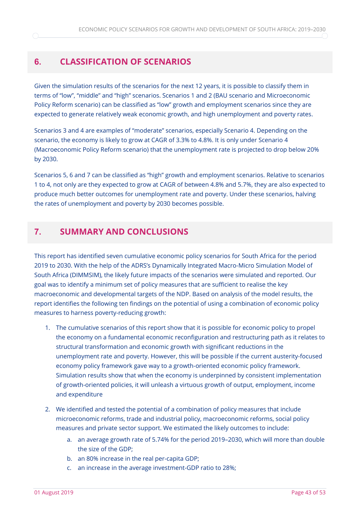# **6. CLASSIFICATION OF SCENARIOS**

Given the simulation results of the scenarios for the next 12 years, it is possible to classify them in terms of "low", "middle" and "high" scenarios. Scenarios 1 and 2 (BAU scenario and Microeconomic Policy Reform scenario) can be classified as "low" growth and employment scenarios since they are expected to generate relatively weak economic growth, and high unemployment and poverty rates.

Scenarios 3 and 4 are examples of "moderate" scenarios, especially Scenario 4. Depending on the scenario, the economy is likely to grow at CAGR of 3.3% to 4.8%. It is only under Scenario 4 (Macroeconomic Policy Reform scenario) that the unemployment rate is projected to drop below 20% by 2030.

Scenarios 5, 6 and 7 can be classified as "high" growth and employment scenarios. Relative to scenarios 1 to 4, not only are they expected to grow at CAGR of between 4.8% and 5.7%, they are also expected to produce much better outcomes for unemployment rate and poverty. Under these scenarios, halving the rates of unemployment and poverty by 2030 becomes possible.

# **7. SUMMARY AND CONCLUSIONS**

This report has identified seven cumulative economic policy scenarios for South Africa for the period 2019 to 2030. With the help of the ADRS's Dynamically Integrated Macro-Micro Simulation Model of South Africa (DIMMSIM), the likely future impacts of the scenarios were simulated and reported. Our goal was to identify a minimum set of policy measures that are sufficient to realise the key macroeconomic and developmental targets of the NDP. Based on analysis of the model results, the report identifies the following ten findings on the potential of using a combination of economic policy measures to harness poverty-reducing growth:

- 1. The cumulative scenarios of this report show that it is possible for economic policy to propel the economy on a fundamental economic reconfiguration and restructuring path as it relates to structural transformation and economic growth with significant reductions in the unemployment rate and poverty. However, this will be possible if the current austerity-focused economy policy framework gave way to a growth-oriented economic policy framework. Simulation results show that when the economy is underpinned by consistent implementation of growth-oriented policies, it will unleash a virtuous growth of output, employment, income and expenditure
- 2. We identified and tested the potential of a combination of policy measures that include microeconomic reforms, trade and industrial policy, macroeconomic reforms, social policy measures and private sector support. We estimated the likely outcomes to include:
	- a. an average growth rate of 5.74% for the period 2019–2030, which will more than double the size of the GDP;
	- b. an 80% increase in the real per-capita GDP;
	- c. an increase in the average investment-GDP ratio to 28%;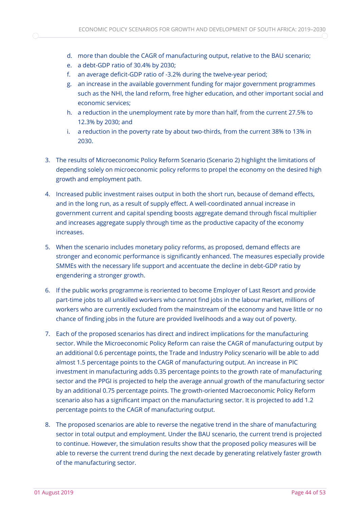- d. more than double the CAGR of manufacturing output, relative to the BAU scenario;
- e. a debt-GDP ratio of 30.4% by 2030;
- f. an average deficit-GDP ratio of -3.2% during the twelve-year period;
- g. an increase in the available government funding for major government programmes such as the NHI, the land reform, free higher education, and other important social and economic services;
- h. a reduction in the unemployment rate by more than half, from the current 27.5% to 12.3% by 2030; and
- i. a reduction in the poverty rate by about two-thirds, from the current 38% to 13% in 2030.
- 3. The results of Microeconomic Policy Reform Scenario (Scenario 2) highlight the limitations of depending solely on microeconomic policy reforms to propel the economy on the desired high growth and employment path.
- 4. Increased public investment raises output in both the short run, because of demand effects, and in the long run, as a result of supply effect. A well-coordinated annual increase in government current and capital spending boosts aggregate demand through fiscal multiplier and increases aggregate supply through time as the productive capacity of the economy increases.
- 5. When the scenario includes monetary policy reforms, as proposed, demand effects are stronger and economic performance is significantly enhanced. The measures especially provide SMMEs with the necessary life support and accentuate the decline in debt-GDP ratio by engendering a stronger growth.
- 6. If the public works programme is reoriented to become Employer of Last Resort and provide part-time jobs to all unskilled workers who cannot find jobs in the labour market, millions of workers who are currently excluded from the mainstream of the economy and have little or no chance of finding jobs in the future are provided livelihoods and a way out of poverty.
- 7. Each of the proposed scenarios has direct and indirect implications for the manufacturing sector. While the Microeconomic Policy Reform can raise the CAGR of manufacturing output by an additional 0.6 percentage points, the Trade and Industry Policy scenario will be able to add almost 1.5 percentage points to the CAGR of manufacturing output. An increase in PIC investment in manufacturing adds 0.35 percentage points to the growth rate of manufacturing sector and the PPGI is projected to help the average annual growth of the manufacturing sector by an additional 0.75 percentage points. The growth-oriented Macroeconomic Policy Reform scenario also has a significant impact on the manufacturing sector. It is projected to add 1.2 percentage points to the CAGR of manufacturing output.
- 8. The proposed scenarios are able to reverse the negative trend in the share of manufacturing sector in total output and employment. Under the BAU scenario, the current trend is projected to continue. However, the simulation results show that the proposed policy measures will be able to reverse the current trend during the next decade by generating relatively faster growth of the manufacturing sector.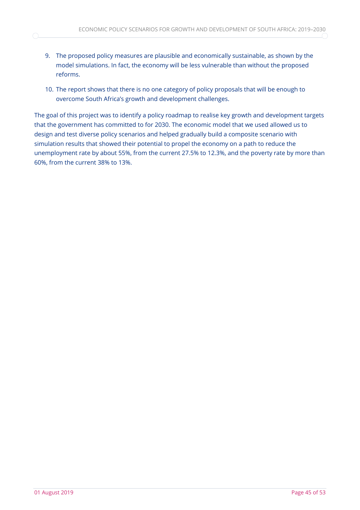- 9. The proposed policy measures are plausible and economically sustainable, as shown by the model simulations. In fact, the economy will be less vulnerable than without the proposed reforms.
- 10. The report shows that there is no one category of policy proposals that will be enough to overcome South Africa's growth and development challenges.

The goal of this project was to identify a policy roadmap to realise key growth and development targets that the government has committed to for 2030. The economic model that we used allowed us to design and test diverse policy scenarios and helped gradually build a composite scenario with simulation results that showed their potential to propel the economy on a path to reduce the unemployment rate by about 55%, from the current 27.5% to 12.3%, and the poverty rate by more than 60%, from the current 38% to 13%.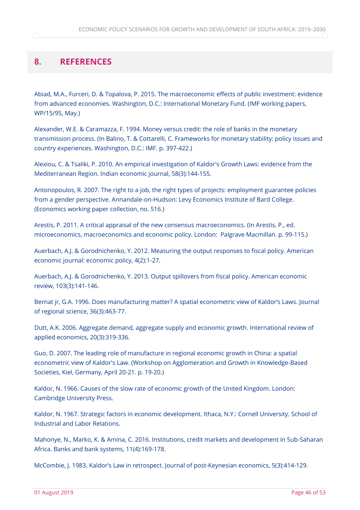# **8. REFERENCES**

Abiad, M.A., Furceri, D. & Topalova, P. 2015. The macroeconomic effects of public investment: evidence from advanced economies. Washington, D.C.: International Monetary Fund. (IMF working papers, WP/15/95, May.)

Alexander, W.E. & Caramazza, F. 1994. Money versus credit: the role of banks in the monetary transmission process. (In Balino, T. & Cottarelli, C. Frameworks for monetary stability: policy issues and country experiences. Washington, D.C.: IMF. p. 397-422.)

Alexiou, C. & Tsaliki, P. 2010. An empirical investigation of Kaldor's Growth Laws: evidence from the Mediterranean Region. Indian economic journal, 58(3):144-155.

Antonopoulos, R. 2007. The right to a job, the right types of projects: employment guarantee policies from a gender perspective. Annandale-on-Hudson: Levy Economics Institute of Bard College. (Economics working paper collection, no. 516.)

Arestis, P. 2011. A critical appraisal of the new consensus macroeconomics. (In Arestis, P., ed. microeconomics, macroeconomics and economic policy. London: Palgrave Macmillan. p. 99-115.)

Auerbach, A.J. & Gorodnichenko, Y. 2012. Measuring the output responses to fiscal policy. American economic journal: economic policy, 4(2):1-27.

Auerbach, A.J. & Gorodnichenko, Y. 2013. Output spillovers from fiscal policy. American economic review, 103(3):141-146.

Bernat jr, G.A. 1996. Does manufacturing matter? A spatial econometric view of Kaldor's Laws. Journal of regional science, 36(3):463-77.

Dutt, A.K. 2006. Aggregate demand, aggregate supply and economic growth. International review of applied economics, 20(3):319-336.

Guo, D. 2007. The leading role of manufacture in regional economic growth in China: a spatial econometric view of Kaldor's Law. (Workshop on Agglomeration and Growth in Knowledge-Based Societies, Kiel, Germany, April 20-21. p. 19-20.)

Kaldor, N. 1966. Causes of the slow rate of economic growth of the United Kingdom. London: Cambridge University Press.

Kaldor, N. 1967. Strategic factors in economic development. Ithaca, N.Y.: Cornell University. School of Industrial and Labor Relations.

Mahonye, N., Marko, K. & Amina, C. 2016. Institutions, credit markets and development in Sub-Saharan Africa. Banks and bank systems, 11(4):169-178.

McCombie, J. 1983. Kaldor's Law in retrospect. Journal of post-Keynesian economics, 5(3):414-129.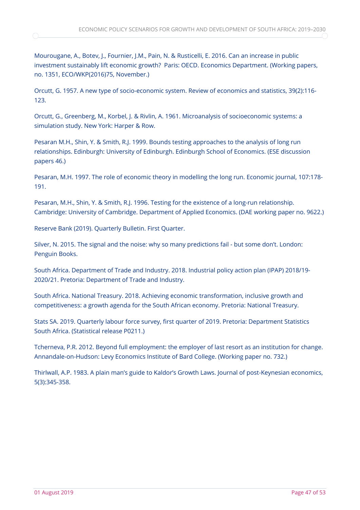Mourougane, A., Botev, J., Fournier, J.M., Pain, N. & Rusticelli, E. 2016. Can an increase in public investment sustainably lift economic growth? Paris: OECD. Economics Department. (Working papers, no. 1351, ECO/WKP(2016)75, November.)

Orcutt, G. 1957. A new type of socio-economic system. Review of economics and statistics, 39(2):116- 123.

Orcutt, G., Greenberg, M., Korbel, J. & Rivlin, A. 1961. Microanalysis of socioeconomic systems: a simulation study. New York: Harper & Row.

Pesaran M.H., Shin, Y. & Smith, R.J. 1999. Bounds testing approaches to the analysis of long run relationships. Edinburgh: University of Edinburgh. Edinburgh School of Economics. (ESE discussion papers 46.)

Pesaran, M.H. 1997. The role of economic theory in modelling the long run. Economic journal, 107:178- 191.

Pesaran, M.H., Shin, Y. & Smith, R.J. 1996. Testing for the existence of a long-run relationship. Cambridge: University of Cambridge. Department of Applied Economics. (DAE working paper no. 9622.)

Reserve Bank (2019). Quarterly Bulletin. First Quarter.

Silver, N. 2015. The signal and the noise: why so many predictions fail - but some don't. London: Penguin Books.

South Africa. Department of Trade and Industry. 2018. Industrial policy action plan (IPAP) 2018/19- 2020/21. Pretoria: Department of Trade and Industry.

South Africa. National Treasury. 2018. Achieving economic transformation, inclusive growth and competitiveness: a growth agenda for the South African economy. Pretoria: National Treasury.

Stats SA. 2019. Quarterly labour force survey, first quarter of 2019. Pretoria: Department Statistics South Africa. (Statistical release P0211.)

Tcherneva, P.R. 2012. Beyond full employment: the employer of last resort as an institution for change. Annandale-on-Hudson: Levy Economics Institute of Bard College. (Working paper no. 732.)

Thirlwall, A.P. 1983. A plain man's guide to Kaldor's Growth Laws. Journal of post-Keynesian economics, 5(3):345-358.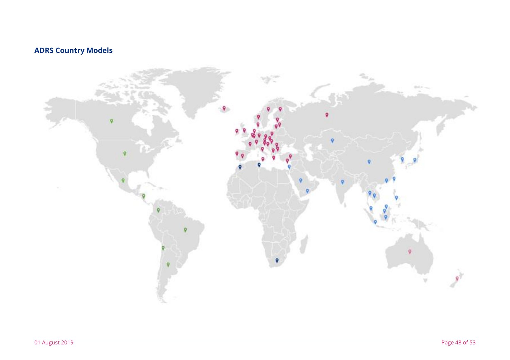# **ADRS Country Models**